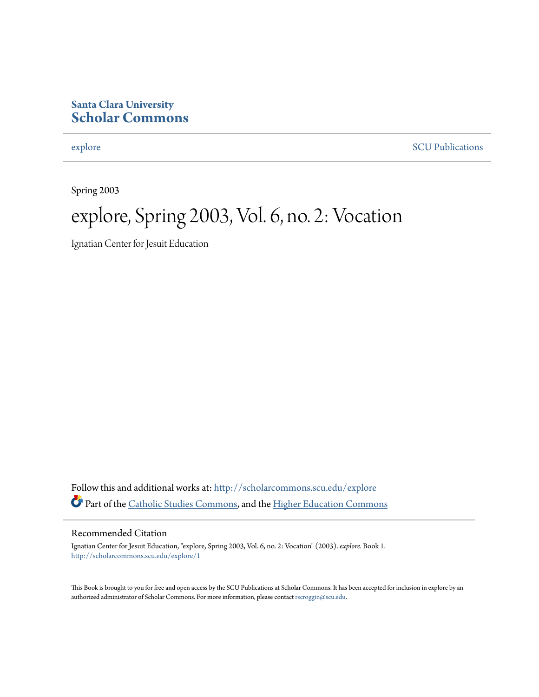#### **Santa Clara University [Scholar Commons](http://scholarcommons.scu.edu?utm_source=scholarcommons.scu.edu%2Fexplore%2F1&utm_medium=PDF&utm_campaign=PDFCoverPages)**

[explore](http://scholarcommons.scu.edu/explore?utm_source=scholarcommons.scu.edu%2Fexplore%2F1&utm_medium=PDF&utm_campaign=PDFCoverPages) [SCU Publications](http://scholarcommons.scu.edu/scu_pubs?utm_source=scholarcommons.scu.edu%2Fexplore%2F1&utm_medium=PDF&utm_campaign=PDFCoverPages)

Spring 2003

### explore, Spring 2003, Vol. 6, no. 2: Vocation

Ignatian Center for Jesuit Education

Follow this and additional works at: [http://scholarcommons.scu.edu/explore](http://scholarcommons.scu.edu/explore?utm_source=scholarcommons.scu.edu%2Fexplore%2F1&utm_medium=PDF&utm_campaign=PDFCoverPages) Part of the [Catholic Studies Commons,](http://network.bepress.com/hgg/discipline/1294?utm_source=scholarcommons.scu.edu%2Fexplore%2F1&utm_medium=PDF&utm_campaign=PDFCoverPages) and the [Higher Education Commons](http://network.bepress.com/hgg/discipline/1245?utm_source=scholarcommons.scu.edu%2Fexplore%2F1&utm_medium=PDF&utm_campaign=PDFCoverPages)

#### Recommended Citation

Ignatian Center for Jesuit Education, "explore, Spring 2003, Vol. 6, no. 2: Vocation" (2003). *explore.* Book 1. [http://scholarcommons.scu.edu/explore/1](http://scholarcommons.scu.edu/explore/1?utm_source=scholarcommons.scu.edu%2Fexplore%2F1&utm_medium=PDF&utm_campaign=PDFCoverPages)

This Book is brought to you for free and open access by the SCU Publications at Scholar Commons. It has been accepted for inclusion in explore by an authorized administrator of Scholar Commons. For more information, please contact [rscroggin@scu.edu.](mailto:rscroggin@scu.edu)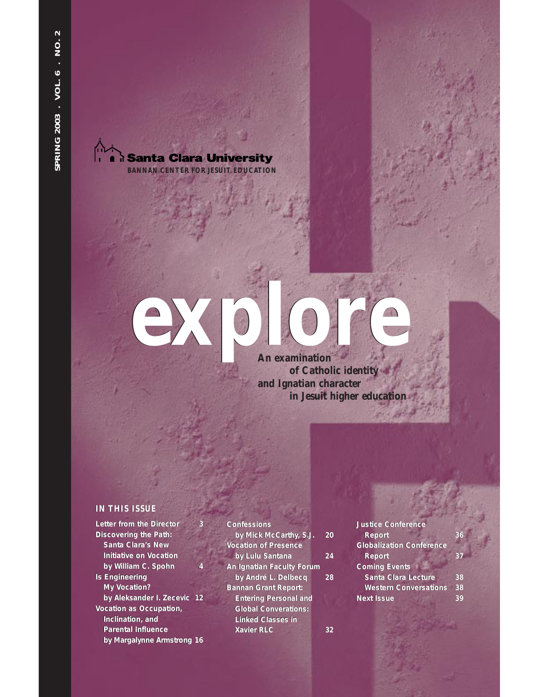**i Santa Clara University BANNAN CENTER FOR JESUIT EDUCATION**

### **An examination of Catholic identity and Ignatian character in Jesuit higher education explore**

#### **IN THIS ISSUE**

**Letter from the Director 3 Discovering the Path: Discovering the Path: Santa Clara's New Initiative on Vocation Santa Clara's New Initiative on Vocation** *by William C. Spohn* **4** *by William C. Spohn* **4 Is Engineering Is Engineering My Vocation? My Vocation?** *by Aleksander I. Zecevic* **12** *by Aleksander I. Zecevic* **12** Vocation as Occupation,<br>Inclination, and<br>Parental Influence **Inclination, and Parental Influence** *by Margalynne Armstrong* **1** *by Margalynne Armstrong* **16**

**Confessions Confessions***by Mick McCarthy, S.J.* **20** *by McCarthy,* **20 Vocation of Presence Vocation of Presence***by Lulu Santana* **24** *by Lulu Santana* **An Ignatian Faculty Forum An Faculty Forum***by André L. Delbecq* **28** *by André L. Delbecq* **Bannan Grant Report: Bannan Grant Report: Entering Personal and Entering Personal Global Converations: Converations: Linked Classes in Xavier RLC 32 Xavier RLC 32** Exter from the Director 3 Confessions<br>
Discovering the Path: by Mick McCarthy, S.J. 20 Report 36<br>
Santa Clara's New Vocation of Presence Clobalization Conference<br>
Initiative on Vocation by Lulu Santana 24 Report 37<br>
by Wil

**Justice Conference Justice Conference Report 36 Globalization Conference Report 36Globalization Conference Report Coming Events Report 37Events Santa Clara Lecture 38 Western Conversations 38 Next Issue 39**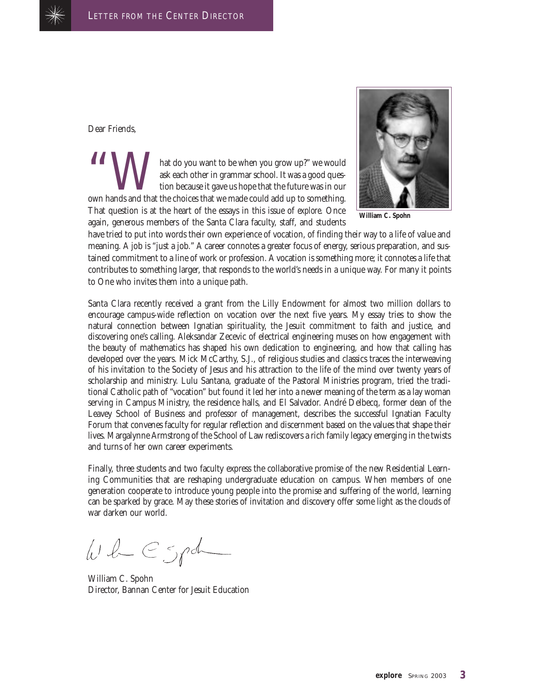

Dear Friends,

hat do you want to be when you grow up?" we would ask each other in grammar school. It was a good question because it gave us hope that the future was in our own hands and that the choices that we made could add up to something. That question is at the heart of the essays in this issue of *explore.* Once again, generous members of the Santa Clara faculty, staff, and students



**William C. Spohn**

have tried to put into words their own experience of vocation, of finding their way to a life of value and meaning. A job is "just a job." A career connotes a greater focus of energy, serious preparation, and sustained commitment to a line of work or profession. A vocation is something more; it connotes a life that contributes to something larger, that responds to the world's needs in a unique way. For many it points to One who invites them into a unique path.

Santa Clara recently received a grant from the Lilly Endowment for almost two million dollars to encourage campus-wide reflection on vocation over the next five years. My essay tries to show the natural connection between Ignatian spirituality, the Jesuit commitment to faith and justice, and discovering one's calling. Aleksandar Zecevic of electrical engineering muses on how engagement with the beauty of mathematics has shaped his own dedication to engineering, and how that calling has developed over the years. Mick McCarthy, S.J., of religious studies and classics traces the interweaving of his invitation to the Society of Jesus and his attraction to the life of the mind over twenty years of scholarship and ministry. Lulu Santana, graduate of the Pastoral Ministries program, tried the traditional Catholic path of "vocation" but found it led her into a newer meaning of the term as a lay woman serving in Campus Ministry, the residence halls, and El Salvador. André Delbecq, former dean of the Leavey School of Business and professor of management, describes the successful Ignatian Faculty Forum that convenes faculty for regular reflection and discernment based on the values that shape their lives. Margalynne Armstrong of the School of Law rediscovers a rich family legacy emerging in the twists and turns of her own career experiments.

Finally, three students and two faculty express the collaborative promise of the new Residential Learning Communities that are reshaping undergraduate education on campus. When members of one generation cooperate to introduce young people into the promise and suffering of the world, learning can be sparked by grace. May these stories of invitation and discovery offer some light as the clouds of war darken our world.

 $WL\subset Spd$ 

William C. Spohn Director, Bannan Center for Jesuit Education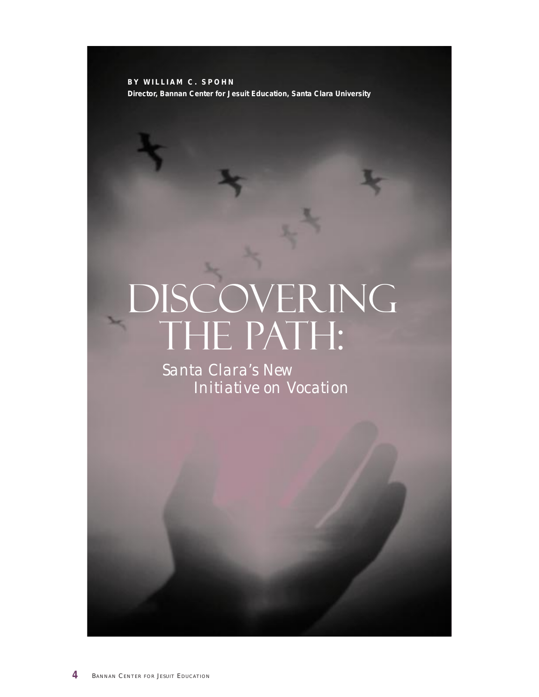**BY WILLIAM C. SPOHN Director, Bannan Center for Jesuit Education, Santa Clara University**

## DISCOVERING THE PATH:

*Santa Clara's New Initiative on Vocation*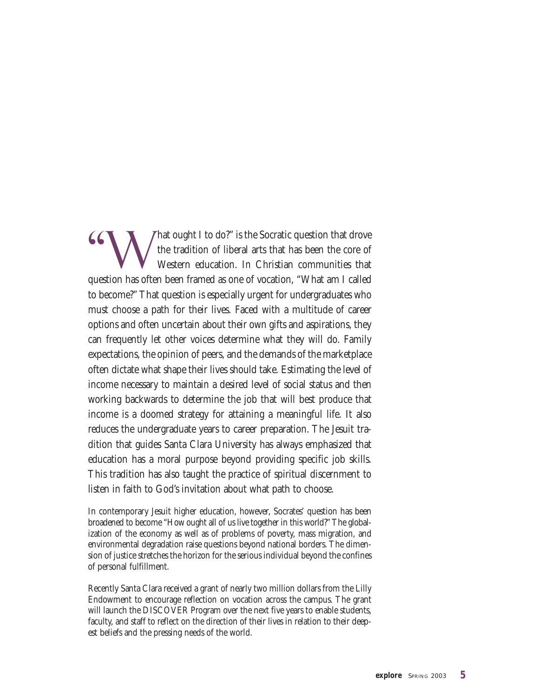That ought I to do?" is the Socratic question that drove the tradition of liberal arts that has been the core of Western education. In Christian communities that question has often been framed as one of vocation, "What am I called to become?" That question is especially urgent for undergraduates who must choose a path for their lives. Faced with a multitude of career options and often uncertain about their own gifts and aspirations, they can frequently let other voices determine what they will do. Family expectations, the opinion of peers, and the demands of the marketplace often dictate what shape their lives should take. Estimating the level of income necessary to maintain a desired level of social status and then working backwards to determine the job that will best produce that income is a doomed strategy for attaining a meaningful life. It also reduces the undergraduate years to career preparation. The Jesuit tradition that guides Santa Clara University has always emphasized that education has a moral purpose beyond providing specific job skills. This tradition has also taught the practice of spiritual discernment to listen in faith to God's invitation about what path to choose.

In contemporary Jesuit higher education, however, Socrates' question has been broadened to become "How ought all of us live together in this world?" The globalization of the economy as well as of problems of poverty, mass migration, and environmental degradation raise questions beyond national borders. The dimension of justice stretches the horizon for the serious individual beyond the confines of personal fulfillment.

Recently Santa Clara received a grant of nearly two million dollars from the Lilly Endowment to encourage reflection on vocation across the campus. The grant will launch the DISCOVER Program over the next five years to enable students, faculty, and staff to reflect on the direction of their lives in relation to their deepest beliefs and the pressing needs of the world.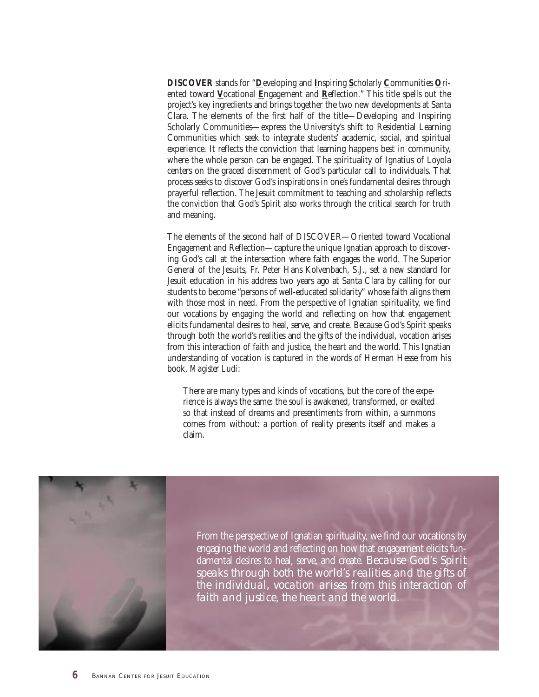**DISCOVER** stands for "**D**eveloping and **I**nspiring **S**cholarly **C**ommunities **O**riented toward **V**ocational **E**ngagement and **R**eflection." This title spells out the project's key ingredients and brings together the two new developments at Santa Clara. The elements of the first half of the title—Developing and Inspiring Scholarly Communities—express the University's shift to Residential Learning Communities which seek to integrate students' academic, social, and spiritual experience. It reflects the conviction that learning happens best in community, where the whole person can be engaged. The spirituality of Ignatius of Loyola centers on the graced discernment of God's particular call to individuals. That process seeks to discover God's inspirations in one's fundamental desires through prayerful reflection. The Jesuit commitment to teaching and scholarship reflects the conviction that God's Spirit also works through the critical search for truth and meaning.

The elements of the second half of DISCOVER—Oriented toward Vocational Engagement and Reflection—capture the unique Ignatian approach to discovering God's call at the intersection where faith engages the world. The Superior General of the Jesuits, Fr. Peter Hans Kolvenbach, S.J., set a new standard for Jesuit education in his address two years ago at Santa Clara by calling for our students to become "persons of well-educated solidarity" whose faith aligns them with those most in need. From the perspective of Ignatian spirituality, we find our vocations by engaging the world and reflecting on how that engagement elicits fundamental desires to heal, serve, and create. Because God's Spirit speaks through both the world's realities and the gifts of the individual, vocation arises from this interaction of faith and justice, the heart and the world. This Ignatian understanding of vocation is captured in the words of Herman Hesse from his book, *Magister Ludi*:

There are many types and kinds of vocations, but the core of the experience is always the same: the soul is awakened, transformed, or exalted so that instead of dreams and presentiments from within, a summons comes from without: a portion of reality presents itself and makes a claim.



From the perspective of Ignatian spirituality, we find our vocations by engaging the world and reflecting on how that engagement elicits fundamental desires to heal, serve, and create. *Because God's Spirit speaks through both the world's realities and the gifts of the individual, vocation arises from this interaction of faith and justice, the heart and the world.*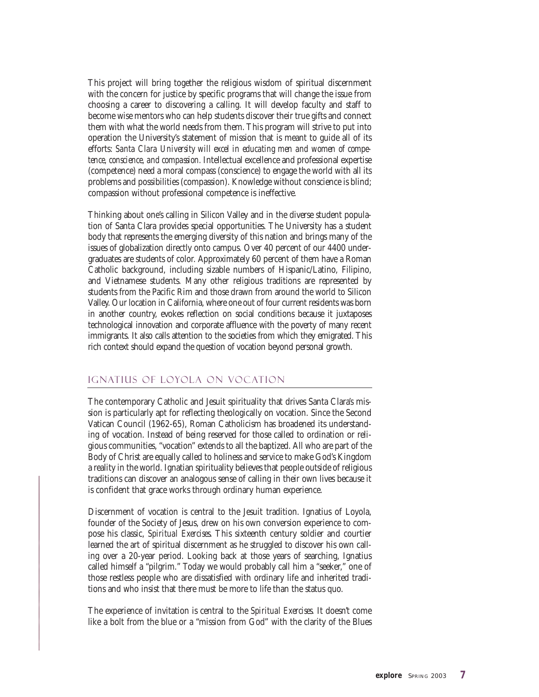This project will bring together the religious wisdom of spiritual discernment with the concern for justice by specific programs that will change the issue from choosing a career to discovering a calling. It will develop faculty and staff to become wise mentors who can help students discover their true gifts and connect them with what the world needs from them. This program will strive to put into operation the University's statement of mission that is meant to guide all of its efforts: *Santa Clara University will excel in educating men and women of competence, conscience, and compassion.* Intellectual excellence and professional expertise (competence) need a moral compass (conscience) to engage the world with all its problems and possibilities (compassion). Knowledge without conscience is blind; compassion without professional competence is ineffective*.*

Thinking about one's calling in Silicon Valley and in the diverse student population of Santa Clara provides special opportunities. The University has a student body that represents the emerging diversity of this nation and brings many of the issues of globalization directly onto campus. Over 40 percent of our 4400 undergraduates are students of color. Approximately 60 percent of them have a Roman Catholic background, including sizable numbers of Hispanic/Latino, Filipino, and Vietnamese students. Many other religious traditions are represented by students from the Pacific Rim and those drawn from around the world to Silicon Valley. Our location in California, where one out of four current residents was born in another country, evokes reflection on social conditions because it juxtaposes technological innovation and corporate affluence with the poverty of many recent immigrants. It also calls attention to the societies from which they emigrated. This rich context should expand the question of vocation beyond personal growth.

#### Ignatius of Loyola on Vocation

The contemporary Catholic and Jesuit spirituality that drives Santa Clara's mission is particularly apt for reflecting theologically on vocation. Since the Second Vatican Council (1962-65), Roman Catholicism has broadened its understanding of vocation. Instead of being reserved for those called to ordination or religious communities, "vocation" extends to all the baptized. All who are part of the Body of Christ are equally called to holiness and service to make God's Kingdom a reality in the world. Ignatian spirituality believes that people outside of religious traditions can discover an analogous sense of calling in their own lives because it is confident that grace works through ordinary human experience.

Discernment of vocation is central to the Jesuit tradition. Ignatius of Loyola, founder of the Society of Jesus, drew on his own conversion experience to compose his classic, *Spiritual Exercises*. This sixteenth century soldier and courtier learned the art of spiritual discernment as he struggled to discover his own calling over a 20-year period. Looking back at those years of searching, Ignatius called himself a "pilgrim." Today we would probably call him a "seeker," one of those restless people who are dissatisfied with ordinary life and inherited traditions and who insist that there must be more to life than the status quo.

The experience of invitation is central to the *Spiritual Exercises.* It doesn't come like a bolt from the blue or a "mission from God" with the clarity of the Blues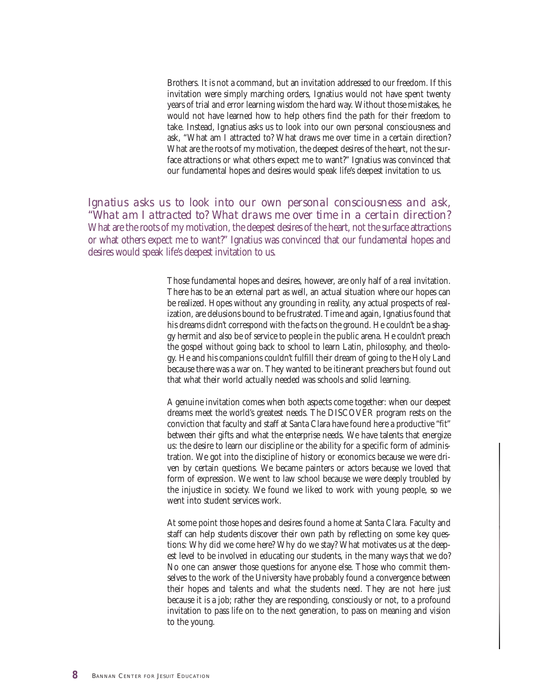Brothers. It is not a command, but an invitation addressed to our freedom. If this invitation were simply marching orders, Ignatius would not have spent twenty years of trial and error learning wisdom the hard way. Without those mistakes, he would not have learned how to help others find the path for their freedom to take. Instead, Ignatius asks us to look into our own personal consciousness and ask, "What am I attracted to? What draws me over time in a certain direction? What are the roots of my motivation, the deepest desires of the heart, not the surface attractions or what others expect me to want?" Ignatius was convinced that our fundamental hopes and desires would speak life's deepest invitation to us.

*Ignatius asks us to look into our own personal consciousness and ask, "What am I attracted to? What draws me over time in a certain direction?* What are the roots of my motivation, the deepest desires of the heart, not the surface attractions or what others expect me to want?" Ignatius was convinced that our fundamental hopes and desires would speak life's deepest invitation to us.

> Those fundamental hopes and desires, however, are only half of a real invitation. There has to be an external part as well, an actual situation where our hopes can be realized. Hopes without any grounding in reality, any actual prospects of realization, are delusions bound to be frustrated. Time and again, Ignatius found that his dreams didn't correspond with the facts on the ground. He couldn't be a shaggy hermit and also be of service to people in the public arena. He couldn't preach the gospel without going back to school to learn Latin, philosophy, and theology. He and his companions couldn't fulfill their dream of going to the Holy Land because there was a war on. They wanted to be itinerant preachers but found out that what their world actually needed was schools and solid learning.

> A genuine invitation comes when both aspects come together: when our deepest dreams meet the world's greatest needs. The DISCOVER program rests on the conviction that faculty and staff at Santa Clara have found here a productive "fit" between their gifts and what the enterprise needs. We have talents that energize us: the desire to learn our discipline or the ability for a specific form of administration. We got into the discipline of history or economics because we were driven by certain questions. We became painters or actors because we loved that form of expression. We went to law school because we were deeply troubled by the injustice in society. We found we liked to work with young people, so we went into student services work.

> At some point those hopes and desires found a home at Santa Clara. Faculty and staff can help students discover their own path by reflecting on some key questions: Why did we come here? Why do we stay? What motivates us at the deepest level to be involved in educating our students, in the many ways that we do? No one can answer those questions for anyone else. Those who commit themselves to the work of the University have probably found a convergence between their hopes and talents and what the students need. They are not here just because it is a job; rather they are responding, consciously or not, to a profound invitation to pass life on to the next generation, to pass on meaning and vision to the young.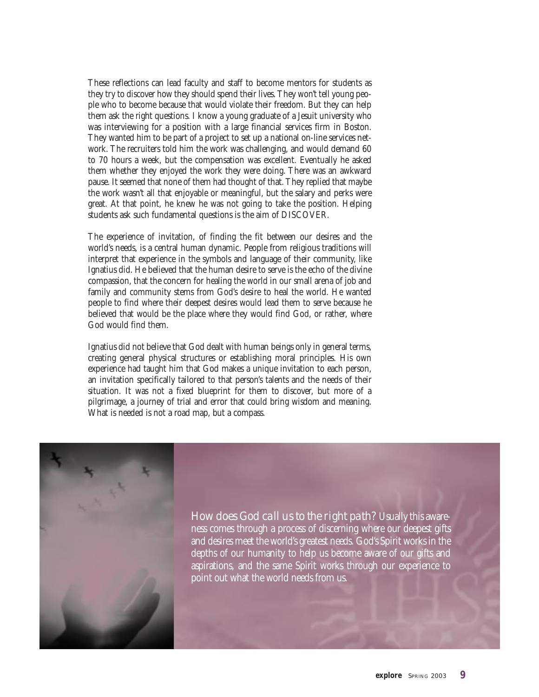These reflections can lead faculty and staff to become mentors for students as they try to discover how they should spend their lives. They won't tell young people who to become because that would violate their freedom. But they can help them ask the right questions. I know a young graduate of a Jesuit university who was interviewing for a position with a large financial services firm in Boston. They wanted him to be part of a project to set up a national on-line services network. The recruiters told him the work was challenging, and would demand 60 to 70 hours a week, but the compensation was excellent. Eventually he asked them whether they enjoyed the work they were doing. There was an awkward pause. It seemed that none of them had thought of that. They replied that maybe the work wasn't all that enjoyable or meaningful, but the salary and perks were great. At that point, he knew he was not going to take the position. Helping students ask such fundamental questions is the aim of DISCOVER.

The experience of invitation, of finding the fit between our desires and the world's needs, is a central human dynamic. People from religious traditions will interpret that experience in the symbols and language of their community, like Ignatius did. He believed that the human desire to serve is the echo of the divine compassion, that the concern for healing the world in our small arena of job and family and community stems from God's desire to heal the world. He wanted people to find where their deepest desires would lead them to serve because he believed that would be the place where they would find God, or rather, where God would find them.

Ignatius did not believe that God dealt with human beings only in general terms, creating general physical structures or establishing moral principles. His own experience had taught him that God makes a unique invitation to each person, an invitation specifically tailored to that person's talents and the needs of their situation. It was not a fixed blueprint for them to discover, but more of a pilgrimage, a journey of trial and error that could bring wisdom and meaning. What is needed is not a road map, but a compass.



*How does God call us to the right path?* Usually this awareness comes through a process of discerning where our deepest gifts and desires meet the world's greatest needs. God's Spirit works in the depths of our humanity to help us become aware of our gifts and aspirations, and the same Spirit works through our experience to point out what the world needs from us.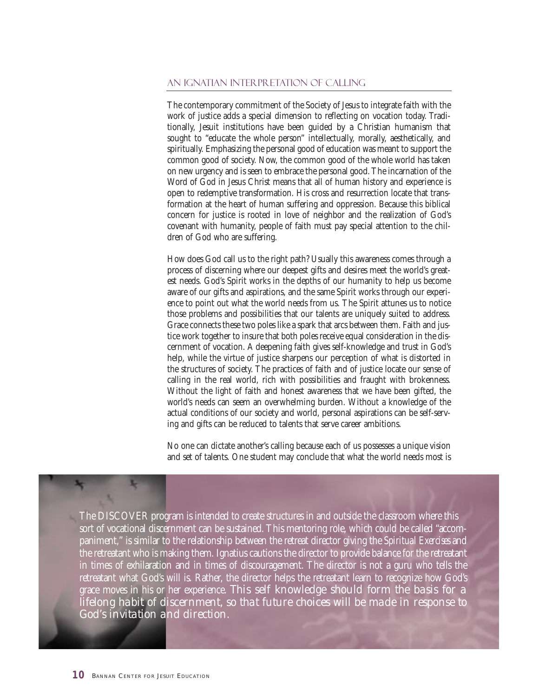#### An Ignatian Interpretation of Calling

The contemporary commitment of the Society of Jesus to integrate faith with the work of justice adds a special dimension to reflecting on vocation today. Traditionally, Jesuit institutions have been guided by a Christian humanism that sought to "educate the whole person" intellectually, morally, aesthetically, and spiritually. Emphasizing the personal good of education was meant to support the common good of society. Now, the common good of the whole world has taken on new urgency and is seen to embrace the personal good. The incarnation of the Word of God in Jesus Christ means that all of human history and experience is open to redemptive transformation. His cross and resurrection locate that transformation at the heart of human suffering and oppression. Because this biblical concern for justice is rooted in love of neighbor and the realization of God's covenant with humanity, people of faith must pay special attention to the children of God who are suffering.

How does God call us to the right path? Usually this awareness comes through a process of discerning where our deepest gifts and desires meet the world's greatest needs. God's Spirit works in the depths of our humanity to help us become aware of our gifts and aspirations, and the same Spirit works through our experience to point out what the world needs from us. The Spirit attunes us to notice those problems and possibilities that our talents are uniquely suited to address. Grace connects these two poles like a spark that arcs between them. Faith and justice work together to insure that both poles receive equal consideration in the discernment of vocation. A deepening faith gives self-knowledge and trust in God's help, while the virtue of justice sharpens our perception of what is distorted in the structures of society. The practices of faith and of justice locate our sense of calling in the real world, rich with possibilities and fraught with brokenness. Without the light of faith and honest awareness that we have been gifted, the world's needs can seem an overwhelming burden. Without a knowledge of the actual conditions of our society and world, personal aspirations can be self-serving and gifts can be reduced to talents that serve career ambitions.

No one can dictate another's calling because each of us possesses a unique vision and set of talents. One student may conclude that what the world needs most is

The DISCOVER program is intended to create structures in and outside the classroom where this sort of vocational discernment can be sustained. This mentoring role, which could be called "accompaniment," is similar to the relationship between the retreat director giving the *Spiritual Exercises* and the retreatant who is making them. Ignatius cautions the director to provide balance for the retreatant in times of exhilaration and in times of discouragement. The director is not a guru who tells the retreatant what God's will is. Rather, the director helps the retreatant learn to recognize how God's grace moves in his or her experience. *This self knowledge should form the basis for a lifelong habit of discernment, so that future choices will be made in response to God's invitation and direction.*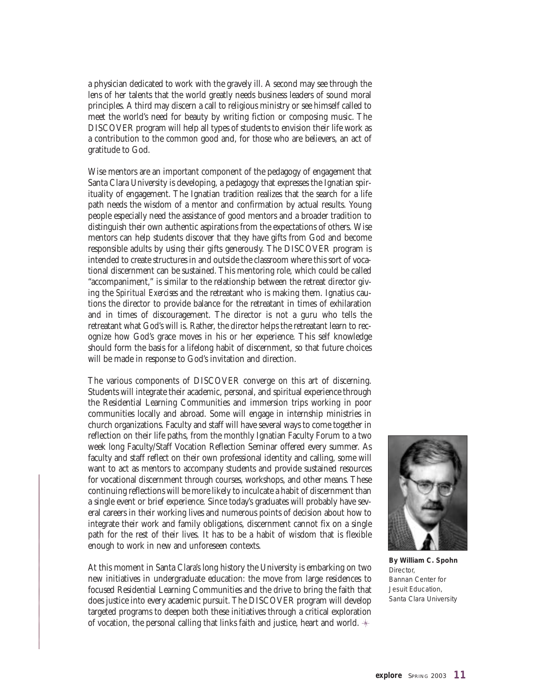a physician dedicated to work with the gravely ill. A second may see through the lens of her talents that the world greatly needs business leaders of sound moral principles. A third may discern a call to religious ministry or see himself called to meet the world's need for beauty by writing fiction or composing music. The DISCOVER program will help all types of students to envision their life work as a contribution to the common good and, for those who are believers, an act of gratitude to God.

Wise mentors are an important component of the pedagogy of engagement that Santa Clara University is developing, a pedagogy that expresses the Ignatian spirituality of engagement. The Ignatian tradition realizes that the search for a life path needs the wisdom of a mentor and confirmation by actual results. Young people especially need the assistance of good mentors and a broader tradition to distinguish their own authentic aspirations from the expectations of others. Wise mentors can help students discover that they have gifts from God and become responsible adults by using their gifts generously. The DISCOVER program is intended to create structures in and outside the classroom where this sort of vocational discernment can be sustained. This mentoring role, which could be called "accompaniment," is similar to the relationship between the retreat director giving the *Spiritual Exercises* and the retreatant who is making them. Ignatius cautions the director to provide balance for the retreatant in times of exhilaration and in times of discouragement. The director is not a guru who tells the retreatant what God's will is. Rather, the director helps the retreatant learn to recognize how God's grace moves in his or her experience. This self knowledge should form the basis for a lifelong habit of discernment, so that future choices will be made in response to God's invitation and direction.

The various components of DISCOVER converge on this art of discerning. Students will integrate their academic, personal, and spiritual experience through the Residential Learning Communities and immersion trips working in poor communities locally and abroad. Some will engage in internship ministries in church organizations. Faculty and staff will have several ways to come together in reflection on their life paths, from the monthly Ignatian Faculty Forum to a two week long Faculty/Staff Vocation Reflection Seminar offered every summer. As faculty and staff reflect on their own professional identity and calling, some will want to act as mentors to accompany students and provide sustained resources for vocational discernment through courses, workshops, and other means. These continuing reflections will be more likely to inculcate a habit of discernment than a single event or brief experience. Since today's graduates will probably have several careers in their working lives and numerous points of decision about how to integrate their work and family obligations, discernment cannot fix on a single path for the rest of their lives. It has to be a habit of wisdom that is flexible enough to work in new and unforeseen contexts.

At this moment in Santa Clara's long history the University is embarking on two new initiatives in undergraduate education: the move from large residences to focused Residential Learning Communities and the drive to bring the faith that does justice into every academic pursuit. The DISCOVER program will develop targeted programs to deepen both these initiatives through a critical exploration of vocation, the personal calling that links faith and justice, heart and world.  $*$ 



**By William C. Spohn** *Director, Bannan Center for Jesuit Education, Santa Clara University*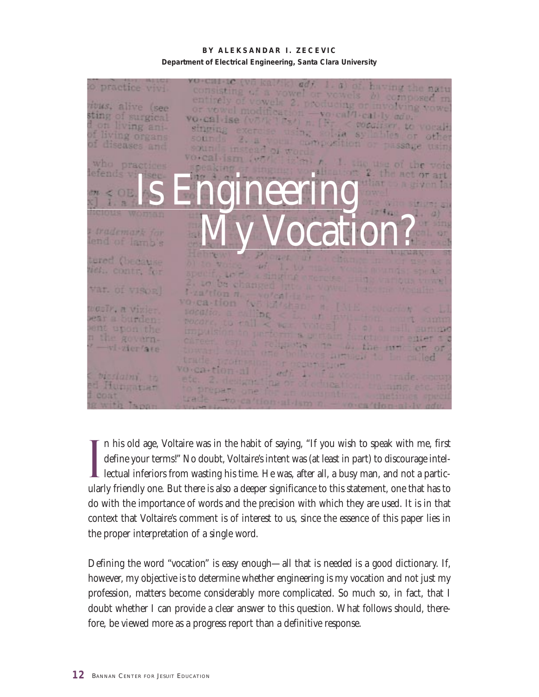**BY ALEKSANDAR I. ZECEVIC Department of Electrical Engineering, Santa Clara University**



I n his old age, Voltaire was in the habit of saying, "If you wish to speak with me, first define your terms!" No doubt, Voltaire's intent was (at least in part) to discourage intellectual inferiors from wasting his time. He was, after all, a busy man, and not a particularly friendly one. But there is also a deeper significance to this statement, one that has to do with the importance of words and the precision with which they are used. It is in that context that Voltaire's comment is of interest to us, since the essence of this paper lies in the proper interpretation of a single word.

Defining the word "vocation" is easy enough—all that is needed is a good dictionary. If, however, my objective is to determine whether engineering is my vocation and not just my profession, matters become considerably more complicated. So much so, in fact, that I doubt whether I can provide a clear answer to this question. What follows should, therefore, be viewed more as a progress report than a definitive response.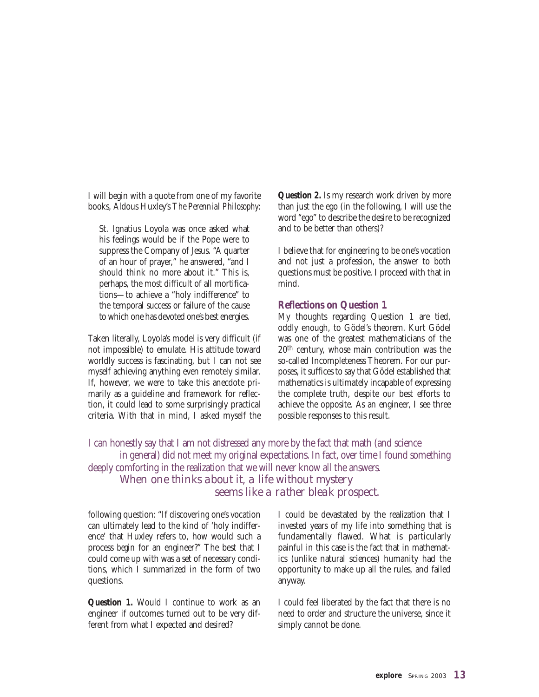I will begin with a quote from one of my favorite books, Aldous Huxley's *The Perennial Philosophy*:

St. Ignatius Loyola was once asked what his feelings would be if the Pope were to suppress the Company of Jesus. "A quarter of an hour of prayer," he answered, "and I should think no more about it." This is, perhaps, the most difficult of all mortifications—to achieve a "holy indifference" to the temporal success or failure of the cause to which one has devoted one's best energies.

Taken literally, Loyola's model is very difficult (if not impossible) to emulate. His attitude toward worldly success is fascinating, but I can not see myself achieving anything even remotely similar. If, however, we were to take this anecdote primarily as a guideline and framework for reflection, it could lead to some surprisingly practical criteria. With that in mind, I asked myself the

**Question 2.** Is my research work driven by more than just the ego (in the following, I will use the word "ego" to describe the desire to be recognized and to be better than others)?

I believe that for engineering to be one's vocation and not just a profession, the answer to both questions must be positive. I proceed with that in mind.

#### **Reflections on Question 1**

My thoughts regarding Question 1 are tied, oddly enough, to Gödel's theorem. Kurt Gödel was one of the greatest mathematicians of the 20th century, whose main contribution was the so-called Incompleteness Theorem. For our purposes, it suffices to say that Gödel established that mathematics is ultimately incapable of expressing the complete truth, despite our best efforts to achieve the opposite. As an engineer, I see three possible responses to this result.

I can honestly say that I am not distressed any more by the fact that math (and science in general) did not meet my original expectations. In fact, over time I found something deeply comforting in the realization that we will never know all the answers. *When one thinks about it, a life without mystery seems like a rather bleak prospect.*

following question: "If discovering one's vocation can ultimately lead to the kind of 'holy indifference' that Huxley refers to, how would such a process *begin* for an engineer?" The best that I could come up with was a set of necessary conditions, which I summarized in the form of two questions.

**Question 1.** Would I continue to work as an engineer if outcomes turned out to be very different from what I expected and desired?

I could be devastated by the realization that I invested years of my life into something that is fundamentally flawed. What is particularly painful in this case is the fact that in mathematics (unlike natural sciences) humanity had the opportunity to make up all the rules, and failed anyway.

I could feel liberated by the fact that there is no need to order and structure the universe, since it simply cannot be done.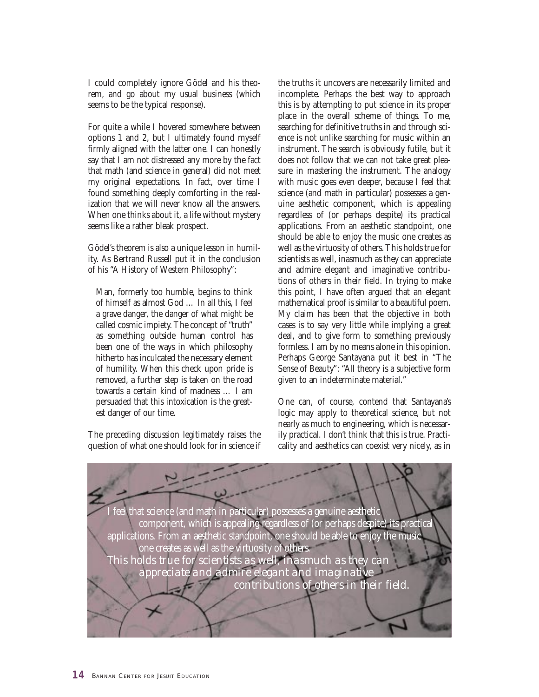I could completely ignore Gödel and his theorem, and go about my usual business (which seems to be the typical response).

For quite a while I hovered somewhere between options 1 and 2, but I ultimately found myself firmly aligned with the latter one. I can honestly say that I am not distressed any more by the fact that math (and science in general) did not meet my original expectations. In fact, over time I found something deeply comforting in the realization that we will never know all the answers. When one thinks about it, a life without mystery seems like a rather bleak prospect.

Gödel's theorem is also a unique lesson in humility. As Bertrand Russell put it in the conclusion of his "A History of Western Philosophy":

Man, formerly too humble, begins to think of himself as almost God … In all this, I feel a grave danger, the danger of what might be called cosmic impiety. The concept of "truth" as something outside human control has been one of the ways in which philosophy hitherto has inculcated the necessary element of humility. When this check upon pride is removed, a further step is taken on the road towards a certain kind of madness … I am persuaded that this intoxication is the greatest danger of our time.

The preceding discussion legitimately raises the question of what one should look for in science if the truths it uncovers are necessarily limited and incomplete. Perhaps the best way to approach this is by attempting to put science in its proper place in the overall scheme of things. To me, searching for definitive truths in and through science is not unlike searching for music within an instrument. The search is obviously futile, but it does not follow that we can not take great pleasure in mastering the instrument. The analogy with music goes even deeper, because I feel that science (and math in particular) possesses a genuine aesthetic component, which is appealing regardless of (or perhaps despite) its practical applications. From an aesthetic standpoint, one should be able to enjoy the music one creates as well as the virtuosity of others. This holds true for scientists as well, inasmuch as they can appreciate and admire elegant and imaginative contributions of others in their field. In trying to make this point, I have often argued that an elegant mathematical proof is similar to a beautiful poem. My claim has been that the objective in both cases is to say very little while implying a great deal, and to give form to something previously formless. I am by no means alone in this opinion. Perhaps George Santayana put it best in "The Sense of Beauty": "All theory is a subjective form given to an indeterminate material."

One can, of course, contend that Santayana's logic may apply to theoretical science, but not nearly as much to engineering, which is necessarily practical. I don't think that this is true. Practicality and aesthetics can coexist very nicely, as in

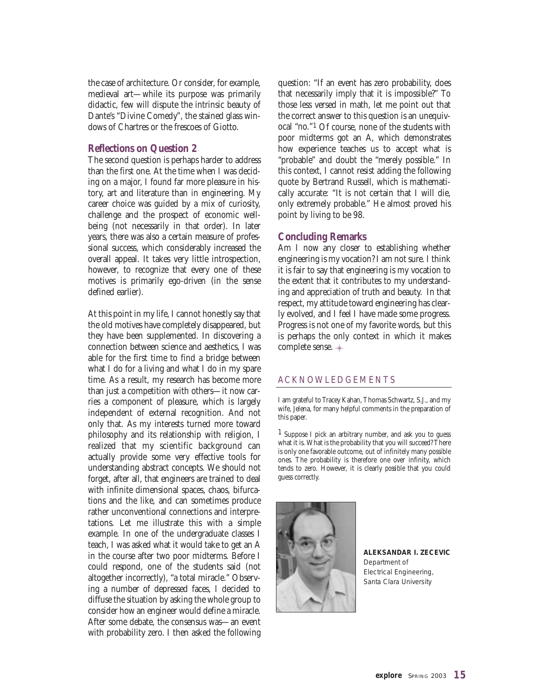the case of architecture. Or consider, for example, medieval art—while its purpose was primarily didactic, few will dispute the intrinsic beauty of Dante's "Divine Comedy", the stained glass windows of Chartres or the frescoes of Giotto.

#### **Reflections on Question 2**

The second question is perhaps harder to address than the first one. At the time when I was deciding on a major, I found far more pleasure in history, art and literature than in engineering. My career choice was guided by a mix of curiosity, challenge and the prospect of economic wellbeing (not necessarily in that order). In later years, there was also a certain measure of professional success, which considerably increased the overall appeal. It takes very little introspection, however, to recognize that every one of these motives is primarily ego-driven (in the sense defined earlier).

At this point in my life, I cannot honestly say that the old motives have completely disappeared, but they have been supplemented. In discovering a connection between science and aesthetics, I was able for the first time to find a bridge between what I do for a living and what I do in my spare time. As a result, my research has become more than just a competition with others—it now carries a component of pleasure, which is largely independent of external recognition. And not only that. As my interests turned more toward philosophy and its relationship with religion, I realized that my scientific background can actually provide some very effective tools for understanding abstract concepts. We should not forget, after all, that engineers are trained to deal with infinite dimensional spaces, chaos, bifurcations and the like, and can sometimes produce rather unconventional connections and interpretations. Let me illustrate this with a simple example. In one of the undergraduate classes I teach, I was asked what it would take to get an A in the course after two poor midterms. Before I could respond, one of the students said (not altogether incorrectly), "a total miracle." Observing a number of depressed faces, I decided to diffuse the situation by asking the whole group to consider how an engineer would define a miracle. After some debate, the consensus was—an event with probability zero. I then asked the following

question: "If an event has zero probability, does that necessarily imply that it is impossible?" To those less versed in math, let me point out that the correct answer to this question is an unequivocal "no."1 Of course, none of the students with poor midterms got an A, which demonstrates how experience teaches us to accept what is "probable" and doubt the "merely possible." In this context, I cannot resist adding the following quote by Bertrand Russell, which is mathematically accurate: "It is not certain that I will die, only extremely probable." He almost proved his point by living to be 98.

#### **Concluding Remarks**

Am I now any closer to establishing whether engineering is my vocation? I am not sure. I think it is fair to say that engineering is my vocation to the extent that it contributes to my understanding and appreciation of truth and beauty. In that respect, my attitude toward engineering has clearly evolved, and I feel I have made some progress. Progress is not one of my favorite words, but this is perhaps the only context in which it makes complete sense.

#### ACKNOWLEDGEMENTS

I am grateful to Tracey Kahan, Thomas Schwartz, S.J., and my wife, Jelena, for many helpful comments in the preparation of this paper.

1 Suppose I pick an arbitrary number, and ask you to guess what it is. What is the probability that you will succeed? There is only one favorable outcome, out of infinitely many possible ones. The probability is therefore one over infinity, which tends to zero. However, it is clearly *possible* that you could guess correctly.



**ALEKSANDAR I. ZECEVIC** *Department of Electrical Engineering, Santa Clara University*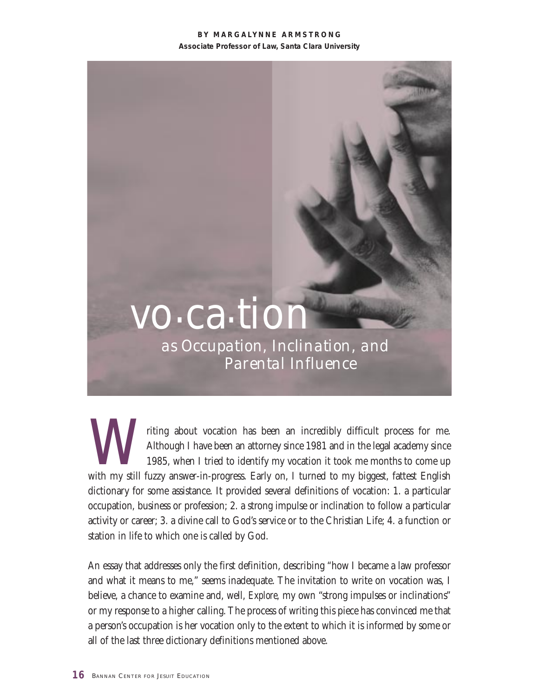#### **BY MARGALYNNE ARMSTRONG Associate Professor of Law, Santa Clara University**

# vo.ca.tion

*as Occupation, Inclination, and Parental Influence*

with my still fuzzy answer-in-progress. Early on, I turned to my biggest, fattest English and in the legal academy since 1985, when I tried to identify my vocation it took me months to come up with my still fuzzy answer-in Although I have been an attorney since 1981 and in the legal academy since 1985, when I tried to identify my vocation it took me months to come up dictionary for some assistance. It provided several definitions of vocation: 1. a particular occupation, business or profession; 2. a strong impulse or inclination to follow a particular activity or career; 3. a divine call to God's service or to the Christian Life; 4. a function or station in life to which one is called by God.

An essay that addresses only the first definition, describing "how I became a law professor and what it means to me," seems inadequate. The invitation to write on vocation was, I believe, a chance to examine and, well, *Explore,* my own "strong impulses or inclinations" or my response to a higher calling. The process of writing this piece has convinced me that a person's occupation is her vocation only to the extent to which it is informed by some or all of the last three dictionary definitions mentioned above.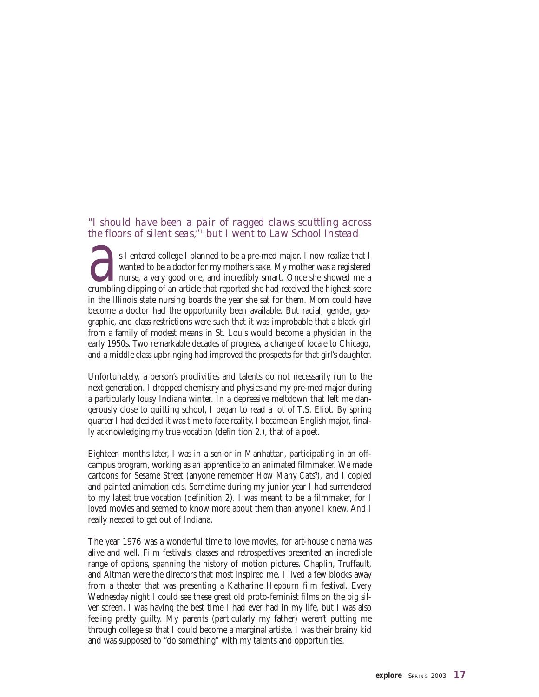#### *"I should have been a pair of ragged claws scuttling across the floors of silent seas,"1 but I went to Law School Instead*

**a**<br>**a**s I entered college I planned to be a pre-med major. I now realize that I wanted to be a doctor for my mother's sake. My mother was a registered nurse, a very good one, and incredibly smart. Once she showed me a cru wanted to be a doctor for my mother's sake. My mother was a registered **L** nurse, a very good one, and incredibly smart. Once she showed me a in the Illinois state nursing boards the year she sat for them. Mom could have become a doctor had the opportunity been available. But racial, gender, geographic, and class restrictions were such that it was improbable that a black girl from a family of modest means in St. Louis would become a physician in the early 1950s. Two remarkable decades of progress, a change of locale to Chicago, and a middle class upbringing had improved the prospects for that girl's daughter.

Unfortunately, a person's proclivities and talents do not necessarily run to the next generation. I dropped chemistry and physics and my pre-med major during a particularly lousy Indiana winter. In a depressive meltdown that left me dangerously close to quitting school, I began to read a lot of T.S. Eliot. By spring quarter I had decided it was time to face reality. I became an English major, finally acknowledging my true vocation (definition 2.), that of a poet.

Eighteen months later, I was in a senior in Manhattan, participating in an offcampus program, working as an apprentice to an animated filmmaker. We made cartoons for Sesame Street (anyone remember *How Many Cats?*), and I copied and painted animation cels. Sometime during my junior year I had surrendered to my latest true vocation (definition 2). I was meant to be a filmmaker, for I loved movies and seemed to know more about them than anyone I knew. And I really needed to get out of Indiana.

The year 1976 was a wonderful time to love movies, for art-house cinema was alive and well. Film festivals, classes and retrospectives presented an incredible range of options, spanning the history of motion pictures. Chaplin, Truffault, and Altman were the directors that most inspired me. I lived a few blocks away from a theater that was presenting a Katharine Hepburn film festival. Every Wednesday night I could see these great old proto-feminist films on the big silver screen. I was having the best time I had ever had in my life, but I was also feeling pretty guilty. My parents (particularly my father) weren't putting me through college so that I could become a marginal artiste. I was their brainy kid and was supposed to "do something" with my talents and opportunities.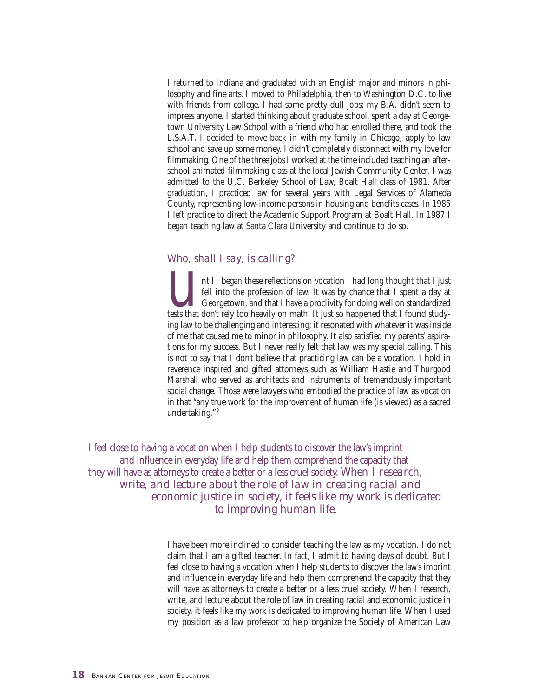I returned to Indiana and graduated with an English major and minors in philosophy and fine arts. I moved to Philadelphia, then to Washington D.C. to live with friends from college. I had some pretty dull jobs; my B.A. didn't seem to impress anyone. I started thinking about graduate school, spent a day at Georgetown University Law School with a friend who had enrolled there, and took the L.S.A.T. I decided to move back in with my family in Chicago, apply to law school and save up some money. I didn't completely disconnect with my love for filmmaking. One of the three jobs I worked at the time included teaching an afterschool animated filmmaking class at the local Jewish Community Center. I was admitted to the U.C. Berkeley School of Law, Boalt Hall class of 1981. After graduation, I practiced law for several years with Legal Services of Alameda County, representing low-income persons in housing and benefits cases. In 1985 I left practice to direct the Academic Support Program at Boalt Hall. In 1987 I began teaching law at Santa Clara University and continue to do so.

#### *Who, shall I say, is calling?*

**u** in these reflections on vocation I had long thought that I just<br>fell into the profession of law. It was by chance that I spent a day at<br>Georgetown, and that I have a proclivity for doing well on standardized<br>tests that fell into the profession of law. It was by chance that I spent a day at Georgetown, and that I have a proclivity for doing well on standardized ing law to be challenging and interesting; it resonated with whatever it was inside of me that caused me to minor in philosophy. It also satisfied my parents' aspirations for my success. But I never really felt that law was my special calling. This is not to say that I don't believe that practicing law can be a vocation. I hold in reverence inspired and gifted attorneys such as William Hastie and Thurgood Marshall who served as architects and instruments of tremendously important social change. Those were lawyers who embodied the practice of law as vocation in that "any true work for the improvement of human life (is viewed) as a sacred undertaking."2

I feel close to having a vocation when I help students to discover the law's imprint and influence in everyday life and help them comprehend the capacity that they will have as attorneys to create a better or a less cruel society. *When I research, write, and lecture about the role of law in creating racial and economic justice in society, it feels like my work is dedicated to improving human life.* 

> I have been more inclined to consider teaching the law as my vocation. I do not claim that I am a gifted teacher. In fact, I admit to having days of doubt. But I feel close to having a vocation when I help students to discover the law's imprint and influence in everyday life and help them comprehend the capacity that they will have as attorneys to create a better or a less cruel society. When I research, write, and lecture about the role of law in creating racial and economic justice in society, it feels like my work is dedicated to improving human life. When I used my position as a law professor to help organize the Society of American Law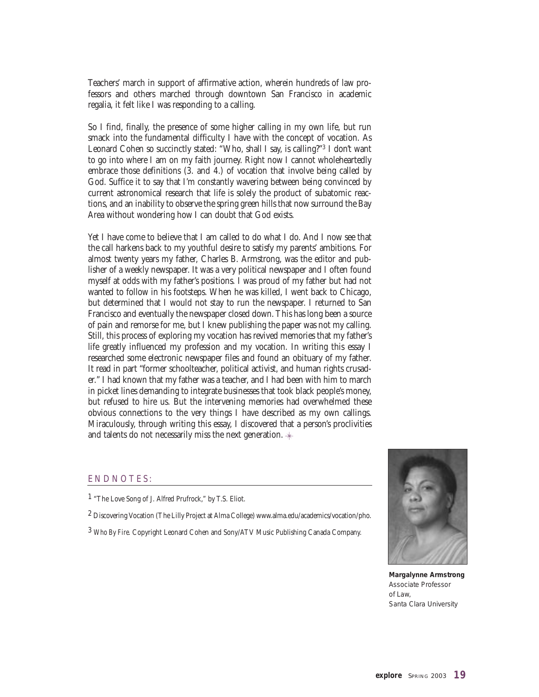Teachers' march in support of affirmative action, wherein hundreds of law professors and others marched through downtown San Francisco in academic regalia, it felt like I was responding to a calling.

So I find, finally, the presence of some higher calling in my own life, but run smack into the fundamental difficulty I have with the concept of vocation. As Leonard Cohen so succinctly stated: "Who, shall I say, is calling?"3 I don't want to go into where I am on my faith journey. Right now I cannot wholeheartedly embrace those definitions (3. and 4.) of vocation that involve being called by God. Suffice it to say that I'm constantly wavering between being convinced by current astronomical research that life is solely the product of subatomic reactions, and an inability to observe the spring green hills that now surround the Bay Area without wondering how I can doubt that God exists.

Yet I have come to believe that I am called to do what I do. And I now see that the call harkens back to my youthful desire to satisfy my parents' ambitions. For almost twenty years my father, Charles B. Armstrong, was the editor and publisher of a weekly newspaper. It was a very political newspaper and I often found myself at odds with my father's positions. I was proud of my father but had not wanted to follow in his footsteps. When he was killed, I went back to Chicago, but determined that I would not stay to run the newspaper. I returned to San Francisco and eventually the newspaper closed down. This has long been a source of pain and remorse for me, but I knew publishing the paper was not my calling. Still, this process of exploring my vocation has revived memories that my father's life greatly influenced my profession and my vocation. In writing this essay I researched some electronic newspaper files and found an obituary of my father. It read in part "former schoolteacher, political activist, and human rights crusader." I had known that my father was a teacher, and I had been with him to march in picket lines demanding to integrate businesses that took black people's money, but refused to hire us. But the intervening memories had overwhelmed these obvious connections to the very things I have described as my own callings. Miraculously, through writing this essay, I discovered that a person's proclivities and talents do not necessarily miss the next generation.

#### ENDNOTES:

1 "The Love Song of J. Alfred Prufrock," by T.S. Eliot.

2 Discovering Vocation (The Lilly Project at Alma College) www.alma.edu/academics/vocation/pho.

3 *Who By Fire.* Copyright Leonard Cohen and Sony/ATV Music Publishing Canada Company.



**Margalynne Armstrong** Associate Professor of Law, Santa Clara University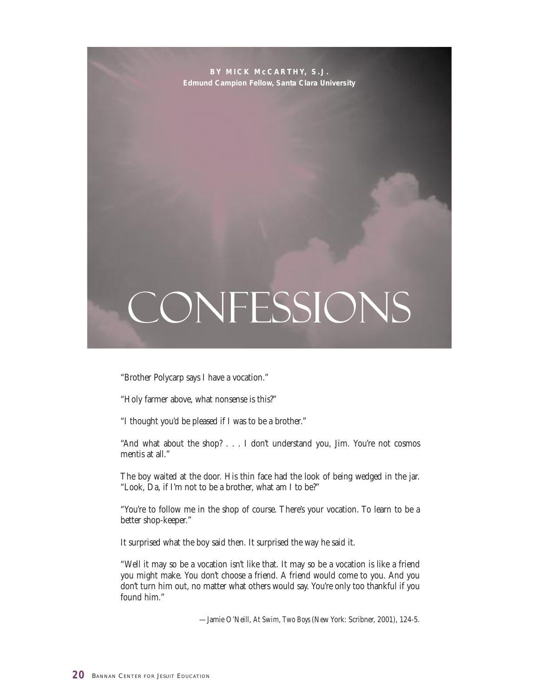**BY MICK McCARTHY, S.J. Edmund Campion Fellow, Santa Clara University**

## CONFESSIONS

"Brother Polycarp says I have a vocation."

"Holy farmer above, what nonsense is this?"

"I thought you'd be pleased if I was to be a brother."

"And what about the shop? . . . I don't understand you, Jim. You're not cosmos mentis at all."

The boy waited at the door. His thin face had the look of being wedged in the jar. "Look, Da, if I'm not to be a brother, what am I to be?"

"You're to follow me in the shop of course. There's your vocation. To learn to be a better shop-keeper."

It surprised what the boy said then. It surprised the way he said it.

"Well it may so be a vocation isn't like that. It may so be a vocation is like a friend you might make. You don't choose a friend. A friend would come to you. And you don't turn him out, no matter what others would say. You're only too thankful if you found him."

—Jamie O'Neill, *At Swim, Two Boys* (New York: Scribner, 2001), 124-5.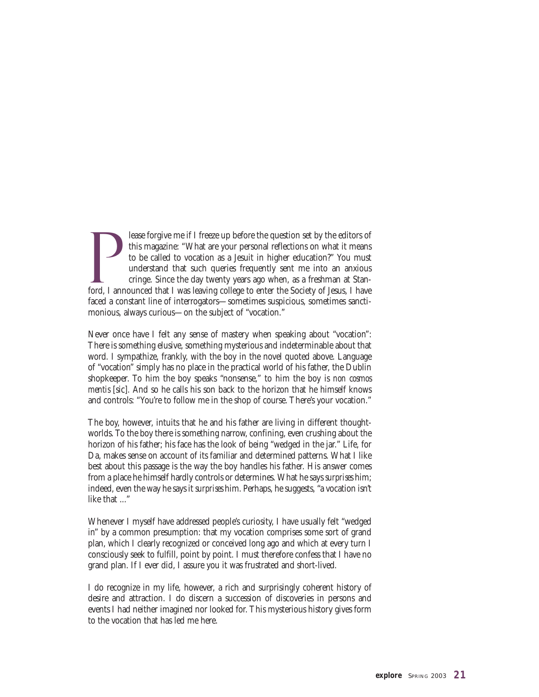P lease forgive me if I freeze up before the question set by the editors of this magazine: "What are your personal reflections on what it means to be called to vocation as a Jesuit in higher education?" You must understand that such queries frequently sent me into an anxious cringe. Since the day twenty years ago when, as a freshman at Stanford, I announced that I was leaving college to enter the Society of Jesus, I have faced a constant line of interrogators—sometimes suspicious, sometimes sanctimonious, always curious—on the subject of "vocation."

Never once have I felt any sense of mastery when speaking about "vocation": There is something elusive, something mysterious and indeterminable about that word. I sympathize, frankly, with the boy in the novel quoted above. Language of "vocation" simply has no place in the practical world of his father, the Dublin shopkeeper. To him the boy speaks "nonsense," to him the boy is *non cosmos mentis* [sic]*.* And so he calls his son back to the horizon that he himself knows and controls: "You're to follow me in the shop of course. There's your vocation."

The boy, however, intuits that he and his father are living in different thoughtworlds. To the boy there is something narrow, confining, even crushing about the horizon of his father; his face has the look of being "wedged in the jar." Life, for Da, makes sense on account of its familiar and determined patterns. What I like best about this passage is the way the boy handles his father. His answer comes from a place he himself hardly controls or determines. What he says *surprises* him; indeed, even the way he says it *surprises* him. Perhaps, he suggests, "a vocation isn't like that ..."

Whenever I myself have addressed people's curiosity, I have usually felt "wedged in" by a common presumption: that my vocation comprises some sort of grand plan, which I clearly recognized or conceived long ago and which at every turn I consciously seek to fulfill, point by point. I must therefore confess that I have no grand plan. If I ever did, I assure you it was frustrated and short-lived.

I do recognize in my life, however, a rich and surprisingly coherent history of desire and attraction. I do discern a succession of discoveries in persons and events I had neither imagined nor looked for. This mysterious history gives form to the vocation that has led me here.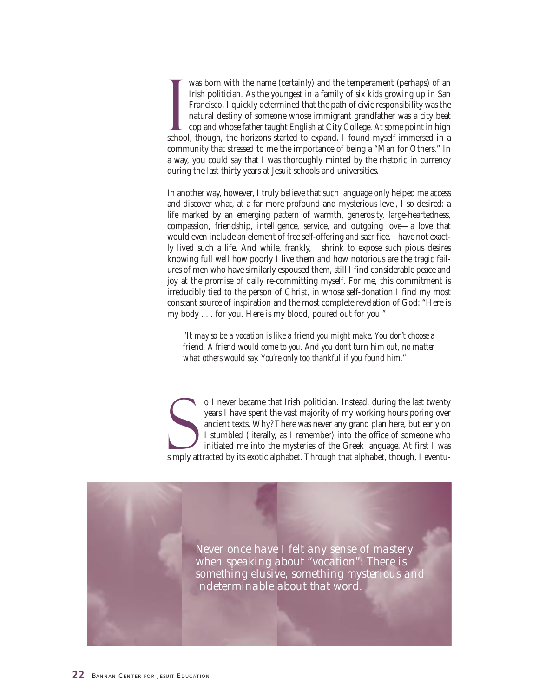I was born with the name (certainly) and the temperament (perhaps) of an Irish politician. As the youngest in a family of six kids growing up in San Francisco, I quickly determined that the path of civic responsibility was the natural destiny of someone whose immigrant grandfather was a city beat cop and whose father taught English at City College. At some point in high school, though, the horizons started to expand. I found myself immersed in a community that stressed to me the importance of being a "Man for Others." In a way, you could say that I was thoroughly minted by the rhetoric in currency during the last thirty years at Jesuit schools and universities.

In another way, however, I truly believe that such language only helped me access and discover what, at a far more profound and mysterious level, I so desired: a life marked by an emerging pattern of warmth, generosity, large-heartedness, compassion, friendship, intelligence, service, and outgoing love—a love that would even include an element of free self-offering and sacrifice. I have not exactly lived such a life. And while, frankly, I shrink to expose such pious desires knowing full well how poorly I live them and how notorious are the tragic failures of men who have similarly espoused them, still I find considerable peace and joy at the promise of daily re-committing myself. For me, this commitment is irreducibly tied to the person of Christ, in whose self-donation I find my most constant source of inspiration and the most complete revelation of God: "Here is my body . . . for you. Here is my blood, poured out for you."

*"It may so be a vocation is like a friend you might make. You don't choose a friend. A friend would come to you. And you don't turn him out, no matter what others would say. You're only too thankful if you found him.*"

S o I never became that Irish politician. Instead, during the last twenty years I have spent the vast majority of my working hours poring over ancient texts. Why? There was never any grand plan here, but early on I stumbled (literally, as I remember) into the office of someone who initiated me into the mysteries of the Greek language. At first I was simply attracted by its exotic alphabet. Through that alphabet, though, I eventu-

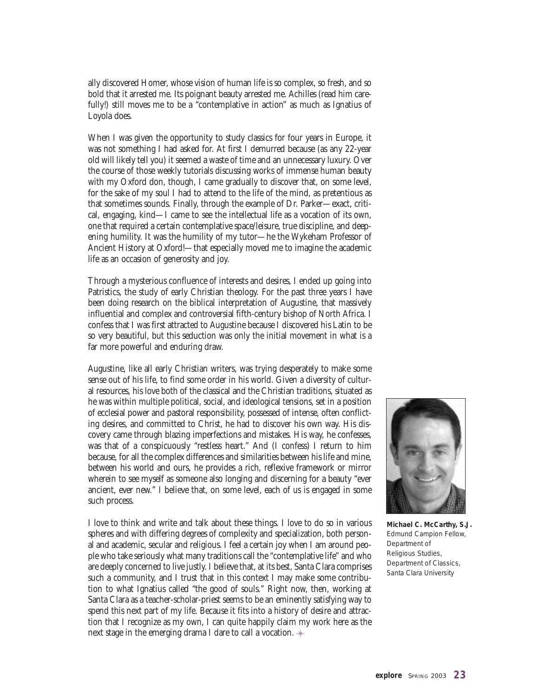ally discovered Homer, whose vision of human life is so complex, so fresh, and so bold that it arrested me. Its poignant beauty arrested me. Achilles (read him carefully!) still moves me to be a "contemplative in action" as much as Ignatius of Loyola does.

When I was given the opportunity to study classics for four years in Europe, it was not something I had asked for. At first I demurred because (as any 22-year old will likely tell you) it seemed a waste of time and an unnecessary luxury. Over the course of those weekly tutorials discussing works of immense human beauty with my Oxford don, though, I came gradually to discover that, on some level, for the sake of my soul I had to attend to the life of the mind, as pretentious as that sometimes sounds. Finally, through the example of Dr. Parker—exact, critical, engaging, kind—I came to see the intellectual life as a vocation of its own, one that required a certain contemplative space/leisure, true discipline, and deepening humility. It was the humility of my tutor—he the Wykeham Professor of Ancient History at Oxford!—that especially moved me to imagine the academic life as an occasion of generosity and joy.

Through a mysterious confluence of interests and desires, I ended up going into Patristics, the study of early Christian theology. For the past three years I have been doing research on the biblical interpretation of Augustine, that massively influential and complex and controversial fifth-century bishop of North Africa. I confess that I was first attracted to Augustine because I discovered his Latin to be so very beautiful, but this seduction was only the initial movement in what is a far more powerful and enduring draw.

Augustine, like all early Christian writers, was trying desperately to make some sense out of his life, to find some order in his world. Given a diversity of cultural resources, his love both of the classical and the Christian traditions, situated as he was within multiple political, social, and ideological tensions, set in a position of ecclesial power and pastoral responsibility, possessed of intense, often conflicting desires, and committed to Christ, he had to discover his own way. His discovery came through blazing imperfections and mistakes. His way, he confesses, was that of a conspicuously "restless heart." And (I confess) I return to him because, for all the complex differences and similarities between his life and mine, between his world and ours, he provides a rich, reflexive framework or mirror wherein to see myself as someone also longing and discerning for a beauty "ever ancient, ever new." I believe that, on some level, each of us is engaged in some such process.

I love to think and write and talk about these things. I love to do so in various spheres and with differing degrees of complexity and specialization, both personal and academic, secular and religious. I feel a certain joy when I am around people who take seriously what many traditions call the "contemplative life" and who are deeply concerned to live justly. I believe that, at its best, Santa Clara comprises such a community, and I trust that in this context I may make some contribution to what Ignatius called "the good of souls." Right now, then, working at Santa Clara as a teacher-scholar-priest seems to be an eminently satisfying way to spend this next part of my life. Because it fits into a history of desire and attraction that I recognize as my own, I can quite happily claim my work here as the next stage in the emerging drama I dare to call a vocation.  $*$ 



**Michael C. McCarthy, S.J.** *Edmund Campion Fellow, Department of Religious Studies, Department of Classics, Santa Clara University*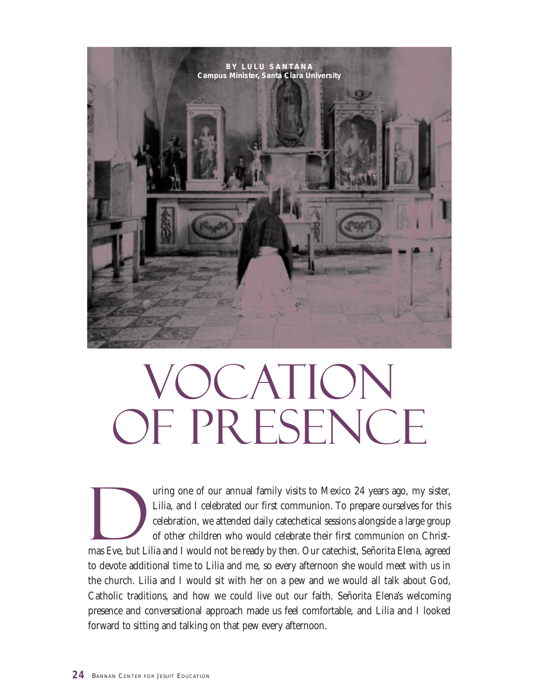

# **OCATION** OF PRESENCE

The method of our annual family visits to Mexico 24 years ago, my sister,<br>Lilia, and I celebrated our first communion. To prepare ourselves for this<br>celebration, we attended daily catechetical sessions alongside a large gr Lilia, and I celebrated our first communion. To prepare ourselves for this celebration, we attended daily catechetical sessions alongside a large group of other children who would celebrate their first communion on Christmas Eve, but Lilia and I would not be ready by then. Our catechist, Señorita Elena, agreed to devote additional time to Lilia and me, so every afternoon she would meet with us in the church. Lilia and I would sit with her on a pew and we would all talk about God, Catholic traditions, and how we could live out our faith. Señorita Elena's welcoming presence and conversational approach made us feel comfortable, and Lilia and I looked forward to sitting and talking on that pew every afternoon.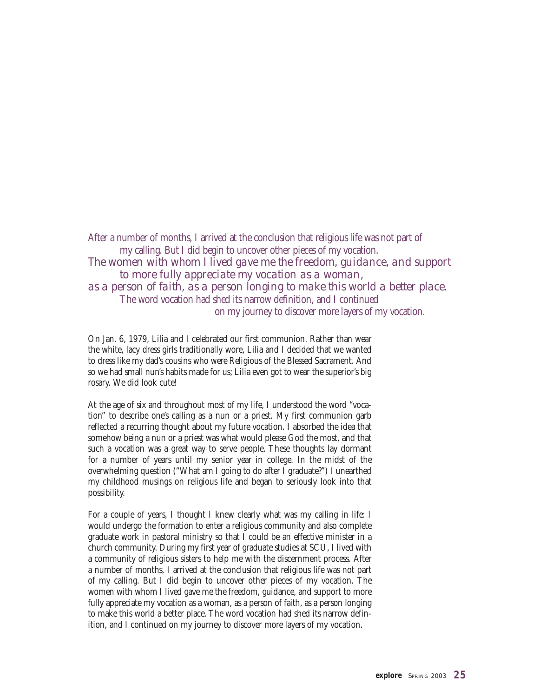After a number of months, I arrived at the conclusion that religious life was not part of my calling. But I did begin to uncover other pieces of my vocation. *The women with whom I lived gave me the freedom, guidance, and support to more fully appreciate my vocation as a woman, as a person of faith, as a person longing to make this world a better place.* The word vocation had shed its narrow definition, and I continued on my journey to discover more layers of my vocation.

On Jan. 6, 1979, Lilia and I celebrated our first communion. Rather than wear the white, lacy dress girls traditionally wore, Lilia and I decided that we wanted to dress like my dad's cousins who were Religious of the Blessed Sacrament. And so we had small nun's habits made for us; Lilia even got to wear the superior's big rosary. We did look cute!

At the age of six and throughout most of my life, I understood the word "vocation" to describe one's calling as a nun or a priest. My first communion garb reflected a recurring thought about my future vocation. I absorbed the idea that somehow being a nun or a priest was what would please God the most, and that such a vocation was a great way to serve people. These thoughts lay dormant for a number of years until my senior year in college. In the midst of the overwhelming question ("What am I going to do after I graduate?") I unearthed my childhood musings on religious life and began to seriously look into that possibility.

For a couple of years, I thought I knew clearly what was my calling in life: I would undergo the formation to enter a religious community and also complete graduate work in pastoral ministry so that I could be an effective minister in a church community. During my first year of graduate studies at SCU, I lived with a community of religious sisters to help me with the discernment process. After a number of months, I arrived at the conclusion that religious life was not part of my calling. But I did begin to uncover other pieces of my vocation. The women with whom I lived gave me the freedom, guidance, and support to more fully appreciate my vocation as a woman, as a person of faith, as a person longing to make this world a better place. The word vocation had shed its narrow definition, and I continued on my journey to discover more layers of my vocation.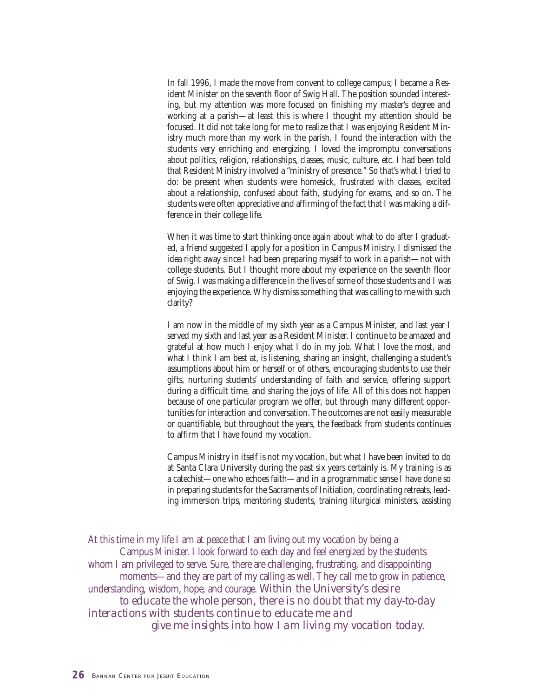In fall 1996, I made the move from convent to college campus; I became a Resident Minister on the seventh floor of Swig Hall. The position sounded interesting, but my attention was more focused on finishing my master's degree and working at a parish—at least this is where I thought my attention should be focused. It did not take long for me to realize that I was enjoying Resident Ministry much more than my work in the parish. I found the interaction with the students very enriching and energizing. I loved the impromptu conversations about politics, religion, relationships, classes, music, culture, etc. I had been told that Resident Ministry involved a "ministry of presence." So that's what I tried to do: be present when students were homesick, frustrated with classes, excited about a relationship, confused about faith, studying for exams, and so on. The students were often appreciative and affirming of the fact that I was making a difference in their college life.

When it was time to start thinking once again about what to do after I graduated, a friend suggested I apply for a position in Campus Ministry. I dismissed the idea right away since I had been preparing myself to work in a parish—not with college students. But I thought more about my experience on the seventh floor of Swig. I was making a difference in the lives of some of those students and I was enjoying the experience. Why dismiss something that was calling to me with such clarity?

I am now in the middle of my sixth year as a Campus Minister, and last year I served my sixth and last year as a Resident Minister. I continue to be amazed and grateful at how much I enjoy what I do in my job. What I love the most, and what I think I am best at, is listening, sharing an insight, challenging a student's assumptions about him or herself or of others, encouraging students to use their gifts, nurturing students' understanding of faith and service, offering support during a difficult time, and sharing the joys of life. All of this does not happen because of one particular program we offer, but through many different opportunities for interaction and conversation. The outcomes are not easily measurable or quantifiable, but throughout the years, the feedback from students continues to affirm that I have found my vocation.

Campus Ministry in itself is not my vocation, but what I have been invited to do at Santa Clara University during the past six years certainly is. My training is as a catechist—one who echoes faith—and in a programmatic sense I have done so in preparing students for the Sacraments of Initiation, coordinating retreats, leading immersion trips, mentoring students, training liturgical ministers, assisting

At this time in my life I am at peace that I am living out my vocation by being a Campus Minister. I look forward to each day and feel energized by the students whom I am privileged to serve. Sure, there are challenging, frustrating, and disappointing moments—and they are part of my calling as well. They call me to grow in patience, understanding, wisdom, hope, and courage. *Within the University's desire to educate the whole person, there is no doubt that my day-to-day interactions with students continue to educate me and give me insights into how I am living my vocation today.*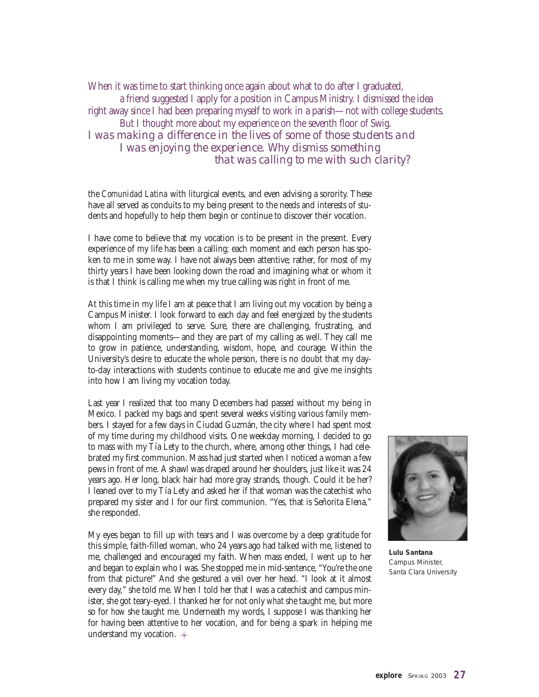When it was time to start thinking once again about what to do after I graduated, a friend suggested I apply for a position in Campus Ministry. I dismissed the idea right away since I had been preparing myself to work in a parish—not with college students. But I thought more about my experience on the seventh floor of Swig. *I was making a difference in the lives of some of those students and I was enjoying the experience. Why dismiss something that was calling to me with such clarity?*

the *Comunidad Latina* with liturgical events, and even advising a sorority. These have all served as conduits to my being present to the needs and interests of students and hopefully to help them begin or continue to discover their vocation.

I have come to believe that my vocation is to be present in the present. Every experience of my life has been a calling; each moment and each person has spoken to me in some way. I have not always been attentive; rather, for most of my thirty years I have been looking down the road and imagining what or whom it is that I think is calling me when my true calling was right in front of me.

At this time in my life I am at peace that I am living out my vocation by being a Campus Minister. I look forward to each day and feel energized by the students whom I am privileged to serve. Sure, there are challenging, frustrating, and disappointing moments—and they are part of my calling as well. They call me to grow in patience, understanding, wisdom, hope, and courage. Within the University's desire to educate the whole person, there is no doubt that my dayto-day interactions with students continue to educate me and give me insights into how I am living my vocation today.

Last year I realized that too many Decembers had passed without my being in Mexico. I packed my bags and spent several weeks visiting various family members. I stayed for a few days in Ciudad Guzmán, the city where I had spent most of my time during my childhood visits. One weekday morning, I decided to go to mass with my Tía Lety to the church, where, among other things, I had celebrated my first communion. Mass had just started when I noticed a woman a few pews in front of me. A shawl was draped around her shoulders, just like it was 24 years ago. Her long, black hair had more gray strands, though. Could it be her? I leaned over to my Tía Lety and asked her if that woman was the catechist who prepared my sister and I for our first communion. "Yes, that is Señorita Elena," she responded.

My eyes began to fill up with tears and I was overcome by a deep gratitude for this simple, faith-filled woman, who 24 years ago had talked with me, listened to me, challenged and encouraged my faith. When mass ended, I went up to her and began to explain who I was. She stopped me in mid-sentence, "You're the one from that picture!" And she gestured a veil over her head. "I look at it almost every day," she told me. When I told her that I was a catechist and campus minister, she got teary-eyed. I thanked her for not only *what* she taught me, but more so for *how* she taught me. Underneath my words, I suppose I was thanking her for having been attentive to her vocation, and for being a spark in helping me understand my vocation.



**Lulu Santana** *Campus Minister, Santa Clara University*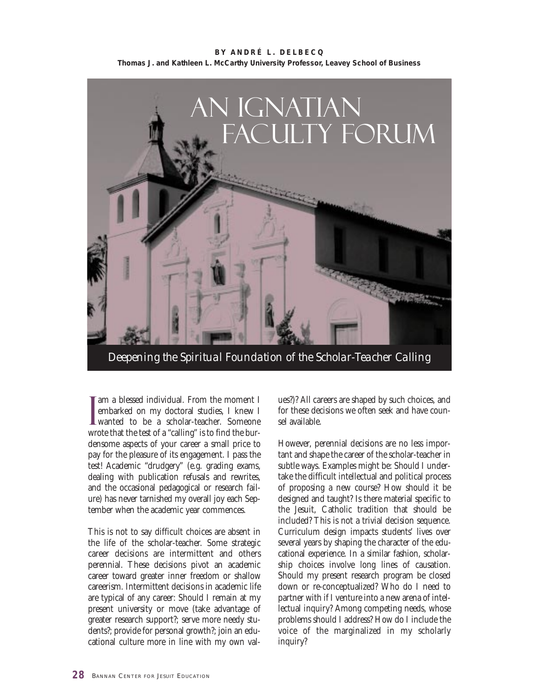**BY ANDRÉ L. DELBECQ Thomas J. and Kathleen L. McCarthy University Professor, Leavey School of Business**



*Deepening the Spiritual Foundation of the Scholar-Teacher Calling*

I am a blessed individual. From the moment I embarked on my doctoral studies, I knew I wanted to be a scholar-teacher. Someone am a blessed individual. From the moment I embarked on my doctoral studies, I knew I wrote that the test of a "calling" is to find the burdensome aspects of your career a small price to pay for the pleasure of its engagement. I pass the test! Academic "drudgery" (e.g. grading exams, dealing with publication refusals and rewrites, and the occasional pedagogical or research failure) has never tarnished my overall joy each September when the academic year commences.

This is not to say difficult choices are absent in the life of the scholar-teacher. Some strategic career decisions are intermittent and others perennial. These decisions pivot an academic career toward greater inner freedom or shallow careerism. Intermittent decisions in academic life are typical of any career: Should I remain at my present university or move (take advantage of greater research support?; serve more needy students?; provide for personal growth?; join an educational culture more in line with my own values?)? All careers are shaped by such choices, and for these decisions we often seek and have counsel available.

However, perennial decisions are no less important and shape the career of the scholar-teacher in subtle ways. Examples might be: Should I undertake the difficult intellectual and political process of proposing a new course? How should it be designed and taught? Is there material specific to the Jesuit, Catholic tradition that should be included? This is not a trivial decision sequence. Curriculum design impacts students' lives over several years by shaping the character of the educational experience. In a similar fashion, scholarship choices involve long lines of causation. Should my present research program be closed down or re-conceptualized? Who do I need to partner with if I venture into a new arena of intellectual inquiry? Among competing needs, whose problems should I address? How do I include the voice of the marginalized in my scholarly inquiry?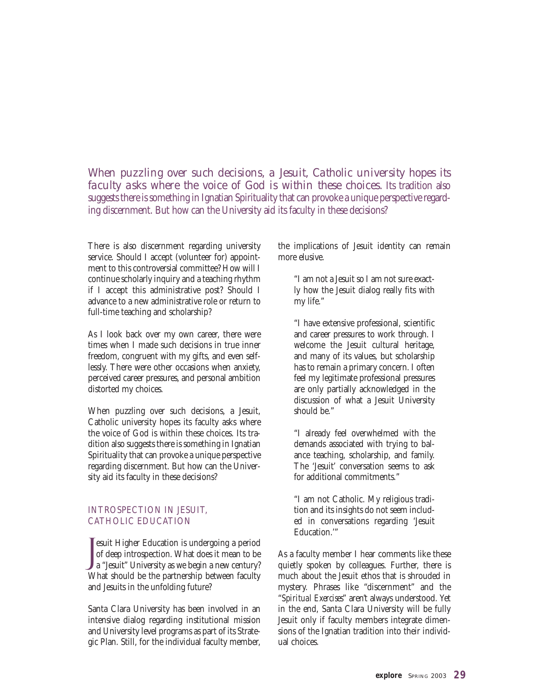*When puzzling over such decisions, a Jesuit, Catholic university hopes its faculty asks where the voice of God is within these choices.* Its tradition also suggests there is something in Ignatian Spirituality that can provoke a unique perspective regarding discernment. But how can the University aid its faculty in these decisions?

There is also discernment regarding university service. Should I accept (volunteer for) appointment to this controversial committee? How will I continue scholarly inquiry and a teaching rhythm if I accept this administrative post? Should I advance to a new administrative role or return to full-time teaching and scholarship?

As I look back over my own career, there were times when I made such decisions in true inner freedom, congruent with my gifts, and even selflessly. There were other occasions when anxiety, perceived career pressures, and personal ambition distorted my choices.

When puzzling over such decisions, a Jesuit, Catholic university hopes its faculty asks where the voice of God is within these choices. Its tradition also suggests there is something in Ignatian Spirituality that can provoke a unique perspective regarding discernment. But how can the University aid its faculty in these decisions?

#### INTROSPECTION IN JESUIT, CATHOLIC EDUCATION

J esuit Higher Education is undergoing a period of deep introspection. What does it mean to be a "Jesuit" University as we begin a new century? What should be the partnership between faculty and Jesuits in the unfolding future?

Santa Clara University has been involved in an intensive dialog regarding institutional mission and University level programs as part of its Strategic Plan. Still, for the individual faculty member, the implications of Jesuit identity can remain more elusive.

"I am not a Jesuit so I am not sure exactly how the Jesuit dialog really fits with my life."

"I have extensive professional, scientific and career pressures to work through. I welcome the Jesuit cultural heritage, and many of its values, but scholarship has to remain a primary concern. I often feel my legitimate professional pressures are only partially acknowledged in the discussion of what a Jesuit University should be."

"I already feel overwhelmed with the demands associated with trying to balance teaching, scholarship, and family. The 'Jesuit' conversation seems to ask for additional commitments."

"I am not Catholic. My religious tradition and its insights do not seem included in conversations regarding 'Jesuit Education.'"

As a faculty member I hear comments like these quietly spoken by colleagues. Further, there is much about the Jesuit ethos that is shrouded in mystery. Phrases like "discernment" and the "*Spiritual Exercises*" aren't always understood. Yet in the end, Santa Clara University will be fully Jesuit only if faculty members integrate dimensions of the Ignatian tradition into their individual choices.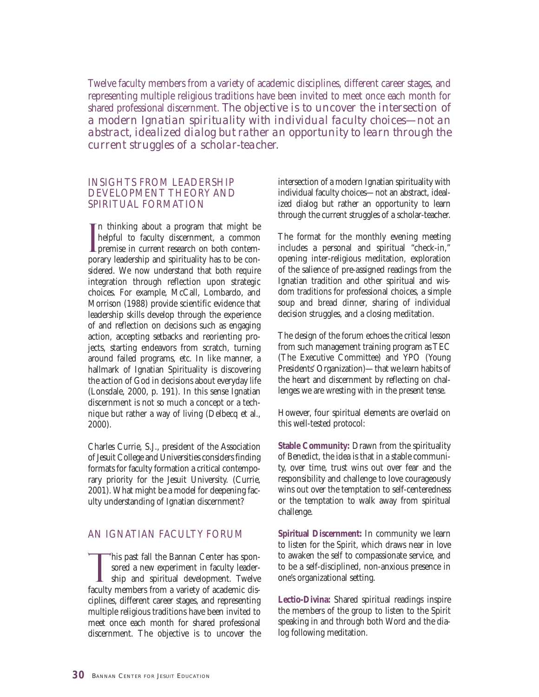Twelve faculty members from a variety of academic disciplines, different career stages, and representing multiple religious traditions have been invited to meet once each month for shared professional discernment. *The objective is to uncover the intersection of a modern Ignatian spirituality with individual faculty choices—not an abstract, idealized dialog but rather an opportunity to learn through the current struggles of a scholar-teacher.*

#### INSIGHTS FROM LEADERSHIP DEVELOPMENT THEORY AND SPIRITUAL FORMATION

I n thinking about a program that might be helpful to faculty discernment, a common premise in current research on both contemporary leadership and spirituality has to be considered. We now understand that both require integration through reflection upon strategic choices. For example, McCall, Lombardo, and Morrison (1988) provide scientific evidence that leadership skills develop through the experience of and reflection on decisions such as engaging action, accepting setbacks and reorienting projects, starting endeavors from scratch, turning around failed programs, etc. In like manner, a hallmark of Ignatian Spirituality is discovering the action of God in decisions about everyday life (Lonsdale, 2000, p. 191). In this sense Ignatian discernment is not so much a concept or a technique but rather a way of living (Delbecq et al., 2000).

Charles Currie, S.J., president of the Association of Jesuit College and Universities considers finding formats for faculty formation a critical contemporary priority for the Jesuit University. (Currie, 2001). What might be a model for deepening faculty understanding of Ignatian discernment?

#### AN IGNATIAN FACULTY FORUM

This past fall the Bannan Center has sponsored a new experiment in faculty leader-**I** ship and spiritual development. Twelve faculty members from a variety of academic disciplines, different career stages, and representing multiple religious traditions have been invited to meet once each month for shared professional discernment. The objective is to uncover the intersection of a modern Ignatian spirituality with individual faculty choices—not an abstract, idealized dialog but rather an opportunity to learn through the current struggles of a scholar-teacher.

The format for the monthly evening meeting includes a personal and spiritual "check-in," opening inter-religious meditation, exploration of the salience of pre-assigned readings from the Ignatian tradition and other spiritual and wisdom traditions for professional choices, a simple soup and bread dinner, sharing of individual decision struggles, and a closing meditation.

The design of the forum echoes the critical lesson from such management training program as TEC (The Executive Committee) and YPO (Young Presidents' Organization)—that we learn habits of the heart and discernment by reflecting on challenges we are wresting with in the present tense.

However, four spiritual elements are overlaid on this well-tested protocol:

**Stable Community:** Drawn from the spirituality of Benedict, the idea is that in a stable community, over time, trust wins out over fear and the responsibility and challenge to love courageously wins out over the temptation to self-centeredness or the temptation to walk away from spiritual challenge.

**Spiritual Discernment:** In community we learn to listen for the Spirit, which draws near in love to awaken the self to compassionate service, and to be a self-disciplined, non-anxious presence in one's organizational setting.

**Lectio-Divina:** Shared spiritual readings inspire the members of the group to listen to the Spirit speaking in and through both Word and the dialog following meditation.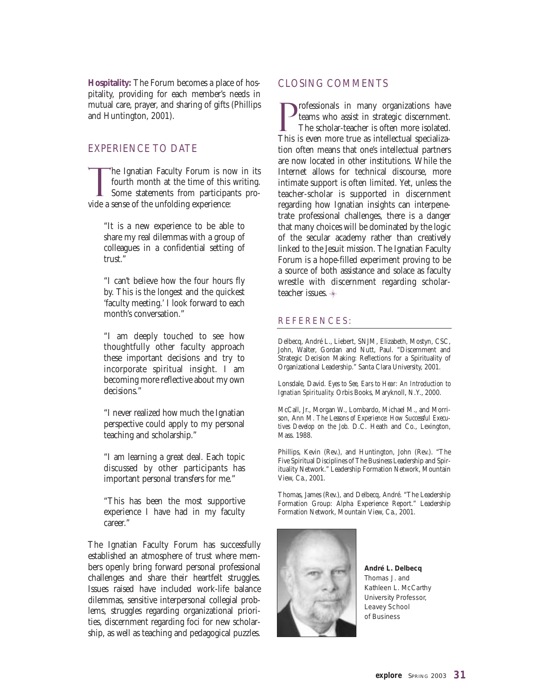**Hospitality:** The Forum becomes a place of hospitality, providing for each member's needs in mutual care, prayer, and sharing of gifts (Phillips and Huntington, 2001).

#### EXPERIENCE TO DATE

The Ignatian Faculty Forum is now in its<br>fourth month at the time of this writing.<br>Some statements from participants profourth month at the time of this writing. Some statements from participants provide a sense of the unfolding experience:

"It is a new experience to be able to share my real dilemmas with a group of colleagues in a confidential setting of trust."

"I can't believe how the four hours fly by. This is the longest and the quickest 'faculty meeting.' I look forward to each month's conversation."

"I am deeply touched to see how thoughtfully other faculty approach these important decisions and try to incorporate spiritual insight. I am becoming more reflective about my own decisions."

"I never realized how much the Ignatian perspective could apply to my personal teaching and scholarship."

"I am learning a great deal. Each topic discussed by other participants has important personal transfers for me."

"This has been the most supportive experience I have had in my faculty career."

The Ignatian Faculty Forum has successfully established an atmosphere of trust where members openly bring forward personal professional challenges and share their heartfelt struggles. Issues raised have included work-life balance dilemmas, sensitive interpersonal collegial problems, struggles regarding organizational priorities, discernment regarding foci for new scholarship, as well as teaching and pedagogical puzzles.

#### CLOSING COMMENTS

P rofessionals in many organizations have teams who assist in strategic discernment. The scholar-teacher is often more isolated. This is even more true as intellectual specialization often means that one's intellectual partners are now located in other institutions. While the Internet allows for technical discourse, more intimate support is often limited. Yet, unless the teacher-scholar is supported in discernment regarding how Ignatian insights can interpenetrate professional challenges, there is a danger that many choices will be dominated by the logic of the secular academy rather than creatively linked to the Jesuit mission. The Ignatian Faculty Forum is a hope-filled experiment proving to be a source of both assistance and solace as faculty wrestle with discernment regarding scholarteacher issues.

#### REFERENCES:

Delbecq, André L., Liebert, SNJM, Elizabeth, Mostyn, CSC, John, Walter, Gordan and Nutt, Paul. "Discernment and Strategic Decision Making: Reflections for a Spirituality of Organizational Leadership." Santa Clara University, 2001.

Lonsdale, David*. Eyes to See, Ears to Hear: An Introduction to Ignatian Spirituality.* Orbis Books, Maryknoll, N.Y., 2000.

McCall, Jr., Morgan W., Lombardo, Michael M., and Morrison, Ann M*. The Lessons of Experience: How Successful Executives Develop on the Job.* D.C. Heath and Co., Lexington, Mass. 1988.

Phillips, Kevin (Rev.), and Huntington, John (Rev.). "The Five Spiritual Disciplines of The Business Leadership and Spirituality Network." Leadership Formation Network, Mountain View, Ca., 2001.

Thomas, James (Rev.), and Delbecq, André. "The Leadership Formation Group: Alpha Experience Report." Leadership Formation Network, Mountain View, Ca., 2001.



**André L. Delbecq** *Thomas J. and Kathleen L. McCarthy University Professor, Leavey School of Business*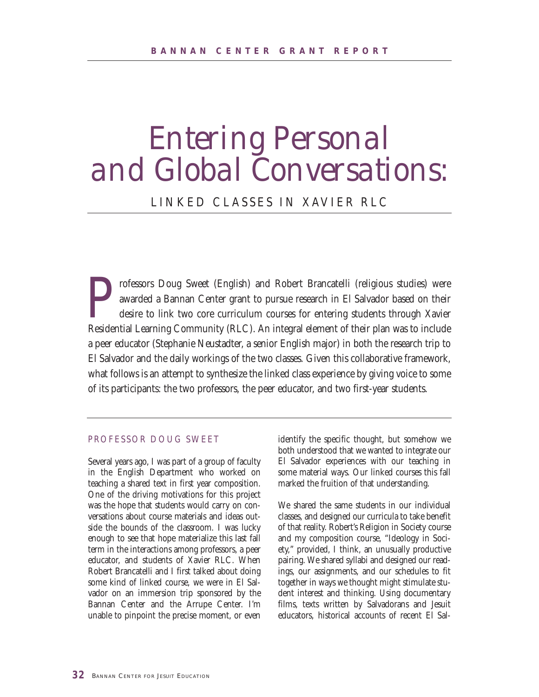### *Entering Personal and Global Conversations:*

#### LINKED CLASSES IN XAVIER RLC

rofessors Doug Sweet (English) and Robert Brancatelli (religious studies) were<br>awarded a Bannan Center grant to pursue research in El Salvador based on their<br>desire to link two core curriculum courses for entering students awarded a Bannan Center grant to pursue research in El Salvador based on their desire to link two core curriculum courses for entering students through Xavier Residential Learning Community (RLC). An integral element of their plan was to include a peer educator (Stephanie Neustadter, a senior English major) in both the research trip to El Salvador and the daily workings of the two classes. Given this collaborative framework, what follows is an attempt to synthesize the linked class experience by giving voice to some of its participants: the two professors, the peer educator, and two first-year students.

#### PROFESSOR DOUG SWEET

Several years ago, I was part of a group of faculty in the English Department who worked on teaching a shared text in first year composition. One of the driving motivations for this project was the hope that students would carry on conversations about course materials and ideas outside the bounds of the classroom. I was lucky enough to see that hope materialize this last fall term in the interactions among professors, a peer educator, and students of Xavier RLC. When Robert Brancatelli and I first talked about doing some kind of linked course, we were in El Salvador on an immersion trip sponsored by the Bannan Center and the Arrupe Center. I'm unable to pinpoint the precise moment, or even identify the specific thought, but somehow we both understood that we wanted to integrate our El Salvador experiences with our teaching in some material ways. Our linked courses this fall marked the fruition of that understanding.

We shared the same students in our individual classes, and designed our curricula to take benefit of that reality. Robert's Religion in Society course and my composition course, "Ideology in Society," provided, I think, an unusually productive pairing. We shared syllabi and designed our readings, our assignments, and our schedules to fit together in ways we thought might stimulate student interest and thinking. Using documentary films, texts written by Salvadorans and Jesuit educators, historical accounts of recent El Sal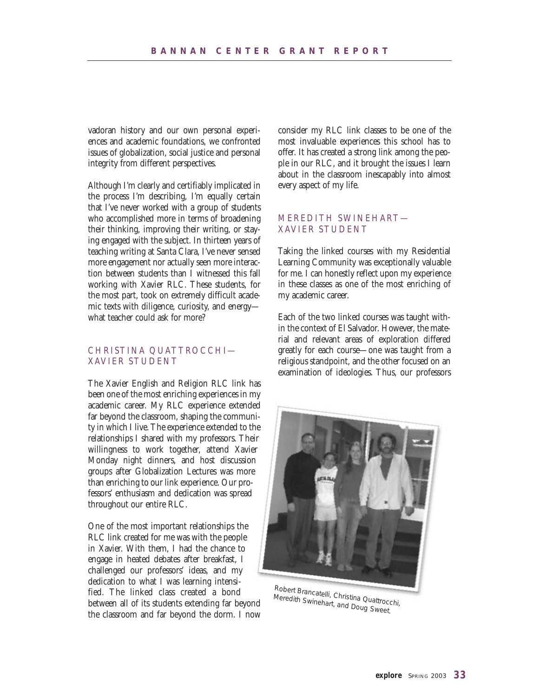vadoran history and our own personal experiences and academic foundations, we confronted issues of globalization, social justice and personal integrity from different perspectives.

Although I'm clearly and certifiably implicated in the process I'm describing, I'm equally certain that I've never worked with a group of students who accomplished more in terms of broadening their thinking, improving their writing, or staying engaged with the subject. In thirteen years of teaching writing at Santa Clara, I've never sensed more engagement nor actually seen more interaction between students than I witnessed this fall working with Xavier RLC. These students, for the most part, took on extremely difficult academic texts with diligence, curiosity, and energy what teacher could ask for more?

#### CHRISTINA QUATTROCCHI— XAVIER STUDENT

The Xavier English and Religion RLC link has been one of the most enriching experiences in my academic career. My RLC experience extended far beyond the classroom, shaping the community in which I live. The experience extended to the relationships I shared with my professors. Their willingness to work together, attend Xavier Monday night dinners, and host discussion groups after Globalization Lectures was more than enriching to our link experience. Our professors' enthusiasm and dedication was spread throughout our entire RLC.

One of the most important relationships the RLC link created for me was with the people in Xavier. With them, I had the chance to engage in heated debates after breakfast, I challenged our professors' ideas, and my dedication to what I was learning intensified. The linked class created a bond between all of its students extending far beyond the classroom and far beyond the dorm. I now consider my RLC link classes to be one of the most invaluable experiences this school has to offer. It has created a strong link among the people in our RLC, and it brought the issues I learn about in the classroom inescapably into almost every aspect of my life.

#### MEREDITH SWINEHART— XAVIER STUDENT

Taking the linked courses with my Residential Learning Community was exceptionally valuable for me. I can honestly reflect upon my experience in these classes as one of the most enriching of my academic career.

Each of the two linked courses was taught within the context of El Salvador. However, the material and relevant areas of exploration differed greatly for each course—one was taught from a religious standpoint, and the other focused on an examination of ideologies. Thus, our professors



Robert Brancatelli, Christina Quattrocchi, Meredith Swinehart, and Doug Sweet.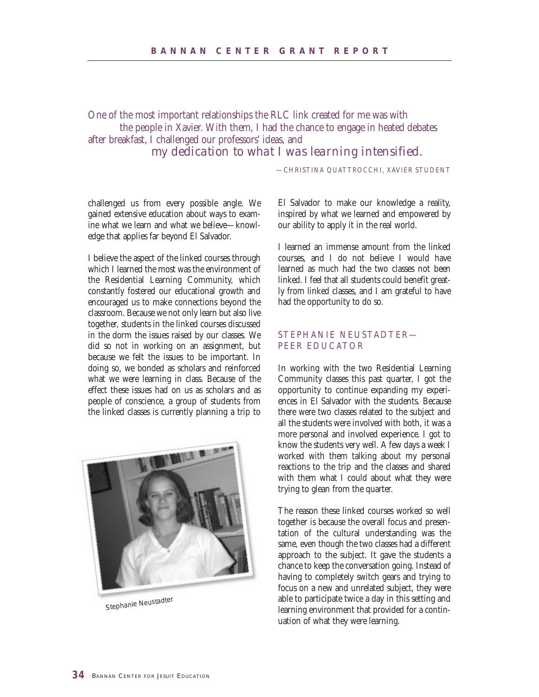One of the most important relationships the RLC link created for me was with the people in Xavier. With them, I had the chance to engage in heated debates after breakfast, I challenged our professors' ideas, and *my dedication to what I was learning intensified.*

—CHRISTINA QUATTROCCHI, XAVIER STUDENT

challenged us from every possible angle. We gained extensive education about ways to examine what we learn and what we believe—knowledge that applies far beyond El Salvador.

I believe the aspect of the linked courses through which I learned the most was the environment of the Residential Learning Community, which constantly fostered our educational growth and encouraged us to make connections beyond the classroom. Because we not only learn but also live together, students in the linked courses discussed in the dorm the issues raised by our classes. We did so not in working on an assignment, but because we felt the issues to be important. In doing so, we bonded as scholars and reinforced what we were learning in class. Because of the effect these issues had on us as scholars and as people of conscience, a group of students from the linked classes is currently planning a trip to



Stephanie Neustadter

El Salvador to make our knowledge a reality, inspired by what we learned and empowered by our ability to apply it in the real world.

I learned an immense amount from the linked courses, and I do not believe I would have learned as much had the two classes not been linked. I feel that all students could benefit greatly from linked classes, and I am grateful to have had the opportunity to do so.

#### STEPHANIE NEUSTADTER— PEER EDUCATOR

In working with the two Residential Learning Community classes this past quarter, I got the opportunity to continue expanding my experiences in El Salvador with the students. Because there were two classes related to the subject and all the students were involved with both, it was a more personal and involved experience. I got to know the students very well. A few days a week I worked with them talking about my personal reactions to the trip and the classes and shared with them what I could about what they were trying to glean from the quarter.

The reason these linked courses worked so well together is because the overall focus and presentation of the cultural understanding was the same, even though the two classes had a different approach to the subject. It gave the students a chance to keep the conversation going. Instead of having to completely switch gears and trying to focus on a new and unrelated subject, they were able to participate twice a day in this setting and learning environment that provided for a continuation of what they were learning.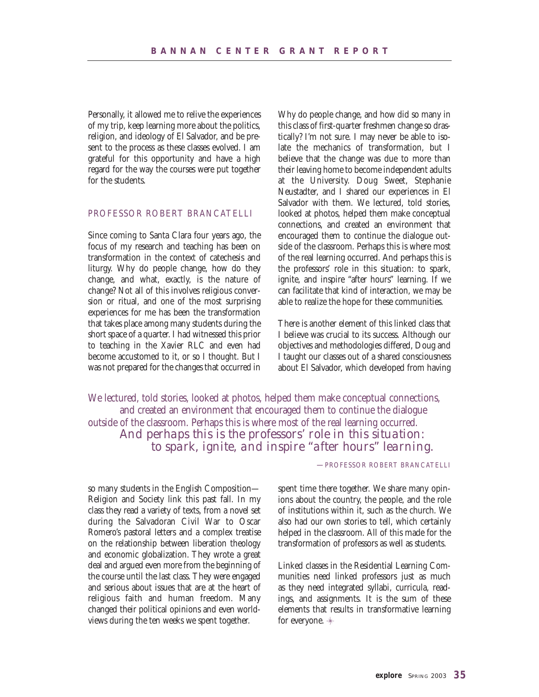Personally, it allowed me to relive the experiences of my trip, keep learning more about the politics, religion, and ideology of El Salvador, and be present to the process as these classes evolved. I am grateful for this opportunity and have a high regard for the way the courses were put together for the students.

#### PROFESSOR ROBERT BRANCATELLI

Since coming to Santa Clara four years ago, the focus of my research and teaching has been on transformation in the context of catechesis and liturgy. Why do people change, how do they change, and what, exactly, is the nature of change? Not all of this involves religious conversion or ritual, and one of the most surprising experiences for me has been the transformation that takes place among many students during the short space of a quarter. I had witnessed this prior to teaching in the Xavier RLC and even had become accustomed to it, or so I thought. But I was not prepared for the changes that occurred in Why do people change, and how did so many in this class of first-quarter freshmen change so drastically? I'm not sure. I may never be able to isolate the mechanics of transformation, but I believe that the change was due to more than their leaving home to become independent adults at the University. Doug Sweet, Stephanie Neustadter, and I shared our experiences in El Salvador with them. We lectured, told stories, looked at photos, helped them make conceptual connections, and created an environment that encouraged them to continue the dialogue outside of the classroom. Perhaps this is where most of the real learning occurred. And perhaps this is the professors' role in this situation: to spark, ignite, and inspire "after hours" learning. If we can facilitate that kind of interaction, we may be able to realize the hope for these communities.

There is another element of this linked class that I believe was crucial to its success. Although our objectives and methodologies differed, Doug and I taught our classes out of a shared consciousness about El Salvador, which developed from having

We lectured, told stories, looked at photos, helped them make conceptual connections, and created an environment that encouraged them to continue the dialogue outside of the classroom. Perhaps this is where most of the real learning occurred. *And perhaps this is the professors' role in this situation: to spark, ignite, and inspire "after hours" learning.*

—PROFESSOR ROBERT BRANCATELLI

so many students in the English Composition— Religion and Society link this past fall. In my class they read a variety of texts, from a novel set during the Salvadoran Civil War to Oscar Romero's pastoral letters and a complex treatise on the relationship between liberation theology and economic globalization. They wrote a great deal and argued even more from the beginning of the course until the last class. They were engaged and serious about issues that are at the heart of religious faith and human freedom. Many changed their political opinions and even worldviews during the ten weeks we spent together.

spent time there together. We share many opinions about the country, the people, and the role of institutions within it, such as the church. We also had our own stories to tell, which certainly helped in the classroom. All of this made for the transformation of professors as well as students.

Linked classes in the Residential Learning Communities need linked professors just as much as they need integrated syllabi, curricula, readings, and assignments. It is the sum of these elements that results in transformative learning for everyone.  $*$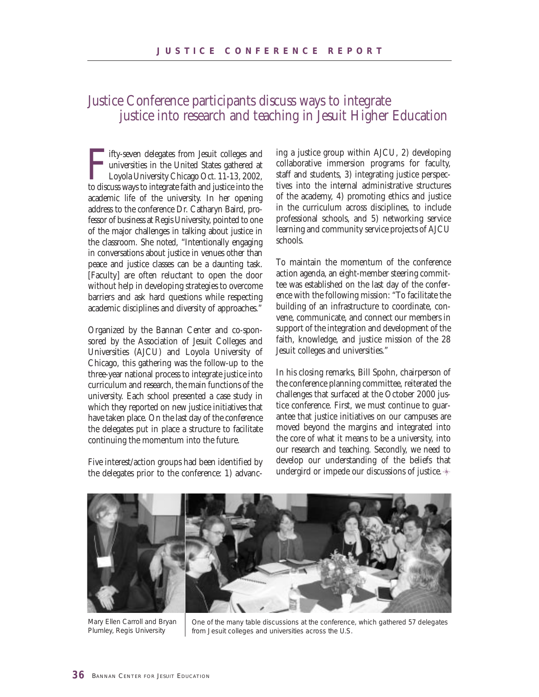#### Justice Conference participants discuss ways to integrate justice into research and teaching in Jesuit Higher Education

Fifty-seven delegates from Jesuit colleges and universities in the United States gathered at Loyola University Chicago Oct. 11-13, 2002, to discuss ways to integrate faith and justice into the ifty-seven delegates from Jesuit colleges and universities in the United States gathered at Loyola University Chicago Oct. 11-13, 2002, academic life of the university. In her opening address to the conference Dr. Catharyn Baird, professor of business at Regis University, pointed to one of the major challenges in talking about justice in the classroom. She noted, "Intentionally engaging in conversations about justice in venues other than peace and justice classes can be a daunting task. [Faculty] are often reluctant to open the door without help in developing strategies to overcome barriers and ask hard questions while respecting academic disciplines and diversity of approaches."

Organized by the Bannan Center and co-sponsored by the Association of Jesuit Colleges and Universities (AJCU) and Loyola University of Chicago, this gathering was the follow-up to the three-year national process to integrate justice into curriculum and research, the main functions of the university. Each school presented a case study in which they reported on new justice initiatives that have taken place. On the last day of the conference the delegates put in place a structure to facilitate continuing the momentum into the future.

Five interest/action groups had been identified by the delegates prior to the conference: 1) advanc-

ing a justice group within AJCU, 2) developing collaborative immersion programs for faculty, staff and students, 3) integrating justice perspectives into the internal administrative structures of the academy, 4) promoting ethics and justice in the curriculum across disciplines, to include professional schools, and 5) networking service learning and community service projects of AJCU schools.

To maintain the momentum of the conference action agenda, an eight-member steering committee was established on the last day of the conference with the following mission: "To facilitate the building of an infrastructure to coordinate, convene, communicate, and connect our members in support of the integration and development of the faith, knowledge, and justice mission of the 28 Jesuit colleges and universities."

In his closing remarks, Bill Spohn, chairperson of the conference planning committee, reiterated the challenges that surfaced at the October 2000 justice conference. First, we must continue to guarantee that justice initiatives on our campuses are moved beyond the margins and integrated into the core of what it means to be a university, into our research and teaching. Secondly, we need to develop our understanding of the beliefs that undergird or impede our discussions of justice.



Mary Ellen Carroll and Bryan Plumley, Regis University

One of the many table discussions at the conference, which gathered 57 delegates from Jesuit colleges and universities across the U.S.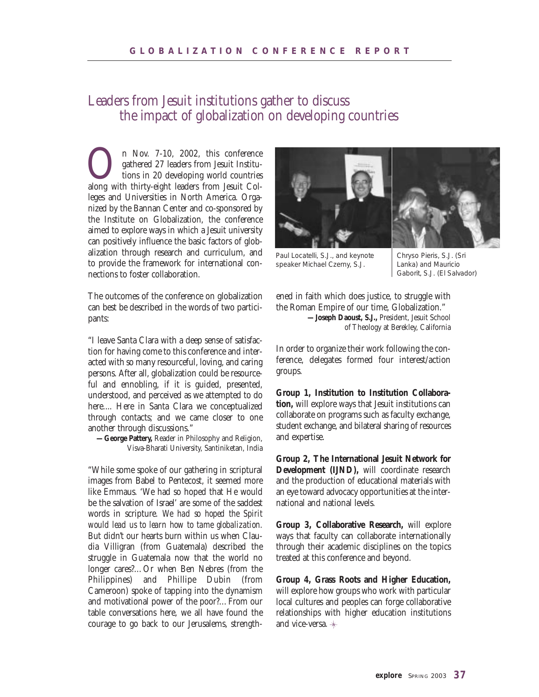#### Leaders from Jesuit institutions gather to discuss the impact of globalization on developing countries

On Nov. 7-10, 2002, this conference gathered 27 leaders from Jesuit Institu-<br>tions in 20 developing world countries<br>along with thirty-eight leaders from Jesuit Colgathered 27 leaders from Jesuit Institutions in 20 developing world countries leges and Universities in North America. Organized by the Bannan Center and co-sponsored by the Institute on Globalization, the conference aimed to explore ways in which a Jesuit university can positively influence the basic factors of globalization through research and curriculum, and to provide the framework for international connections to foster collaboration.

The outcomes of the conference on globalization can best be described in the words of two participants:

"I leave Santa Clara with a deep sense of satisfaction for having come to this conference and interacted with so many resourceful, loving, and caring persons. After all, globalization could be resourceful and ennobling, if it is guided, presented, understood, and perceived as we attempted to do here.... Here in Santa Clara we conceptualized through contacts; and we came closer to one another through discussions."

**—George Pattery,** Reader in Philosophy and Religion, Visva-Bharati University, Santiniketan, India

"While some spoke of our gathering in scriptural images from Babel to Pentecost, it seemed more like Emmaus. 'We had so hoped that He would be the salvation of Israel' are some of the saddest words in scripture. *We had so hoped the Spirit would lead us to learn how to tame globalization.* But didn't our hearts burn within us when Claudia Villigran (from Guatemala) described the struggle in Guatemala now that the world no longer cares?…Or when Ben Nebres (from the Philippines) and Phillipe Dubin (from Cameroon) spoke of tapping into the dynamism and motivational power of the poor?…From our table conversations here, we all have found the courage to go back to our Jerusalems, strength-



Paul Locatelli, S.J., and keynote speaker Michael Czerny, S.J.

Chryso Pieris, S.J. (Sri Lanka) and Mauricio Gaborit, S.J. (El Salvador)

ened in faith which does justice, to struggle with the Roman Empire of our time, Globalization." **—Joseph Daoust, S.J.,** President, Jesuit School of Theology at Berekley, California

In order to organize their work following the conference, delegates formed four interest/action groups.

**Group 1, Institution to Institution Collaboration,** will explore ways that Jesuit institutions can collaborate on programs such as faculty exchange, student exchange, and bilateral sharing of resources and expertise.

**Group 2, The International Jesuit Network for Development (IJND),** will coordinate research and the production of educational materials with an eye toward advocacy opportunities at the international and national levels.

**Group 3, Collaborative Research,** will explore ways that faculty can collaborate internationally through their academic disciplines on the topics treated at this conference and beyond.

**Group 4, Grass Roots and Higher Education,** will explore how groups who work with particular local cultures and peoples can forge collaborative relationships with higher education institutions and vice-versa.  $\ast$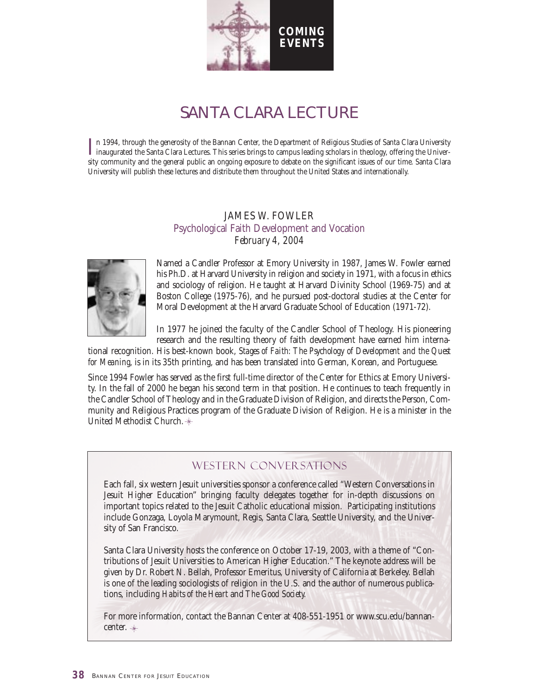

### SANTA CLARA LECTURE

In 1994, through the generosity of the Bannan Center, the Department of Religious Studies of Santa Clara University<br>inaugurated the Santa Clara Lectures. This series brings to campus leading scholars in theology, offering inaugurated the Santa Clara Lectures. This series brings to campus leading scholars in theology, offering the University community and the general public an ongoing exposure to debate on the significant issues of our time. Santa Clara University will publish these lectures and distribute them throughout the United States and internationally.

#### JAMES W. FOWLER Psychological Faith Development and Vocation *February 4, 2004*



Named a Candler Professor at Emory University in 1987, James W. Fowler earned his Ph.D. at Harvard University in religion and society in 1971, with a focus in ethics and sociology of religion. He taught at Harvard Divinity School (1969-75) and at Boston College (1975-76), and he pursued post-doctoral studies at the Center for Moral Development at the Harvard Graduate School of Education (1971-72).

In 1977 he joined the faculty of the Candler School of Theology. His pioneering research and the resulting theory of faith development have earned him interna-

tional recognition. His best-known book, *Stages of Faith: The Psychology of Development and the Quest for Meaning*, is in its 35th printing, and has been translated into German, Korean, and Portuguese.

Since 1994 Fowler has served as the first full-time director of the Center for Ethics at Emory University. In the fall of 2000 he began his second term in that position. He continues to teach frequently in the Candler School of Theology and in the Graduate Division of Religion, and directs the Person, Community and Religious Practices program of the Graduate Division of Religion. He is a minister in the United Methodist Church.

#### Western Conversations

Each fall, six western Jesuit universities sponsor a conference called "Western Conversations in Jesuit Higher Education" bringing faculty delegates together for in-depth discussions on important topics related to the Jesuit Catholic educational mission. Participating institutions include Gonzaga, Loyola Marymount, Regis, Santa Clara, Seattle University, and the University of San Francisco.

Santa Clara University hosts the conference on October 17-19, 2003, with a theme of "Contributions of Jesuit Universities to American Higher Education." The keynote address will be given by Dr. Robert N. Bellah, Professor Emeritus, University of California at Berkeley. Bellah is one of the leading sociologists of religion in the U.S. and the author of numerous publications, including *Habits of the Heart* and *The Good Society.* 

For more information, contact the Bannan Center at 408-551-1951 or www.scu.edu/bannancenter.  $*$